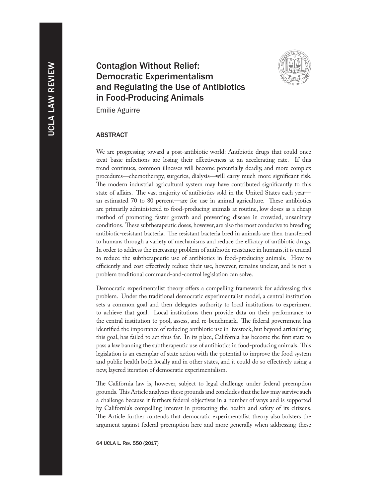# Contagion Without Relief: Democratic Experimentalism and Regulating the Use of Antibiotics in Food-Producing Animals



Emilie Aguirre

## **ABSTRACT**

We are progressing toward a post-antibiotic world: Antibiotic drugs that could once treat basic infections are losing their effectiveness at an accelerating rate. If this trend continues, common illnesses will become potentially deadly, and more complex procedures—chemotherapy, surgeries, dialysis—will carry much more significant risk. The modern industrial agricultural system may have contributed significantly to this state of affairs. The vast majority of antibiotics sold in the United States each year an estimated 70 to 80 percent—are for use in animal agriculture. These antibiotics are primarily administered to food-producing animals at routine, low doses as a cheap method of promoting faster growth and preventing disease in crowded, unsanitary conditions. These subtherapeutic doses, however, are also the most conducive to breeding antibiotic-resistant bacteria. The resistant bacteria bred in animals are then transferred to humans through a variety of mechanisms and reduce the efficacy of antibiotic drugs. In order to address the increasing problem of antibiotic resistance in humans, it is crucial to reduce the subtherapeutic use of antibiotics in food-producing animals. How to efficiently and cost effectively reduce their use, however, remains unclear, and is not a problem traditional command-and-control legislation can solve.

Democratic experimentalist theory offers a compelling framework for addressing this problem. Under the traditional democratic experimentalist model, a central institution sets a common goal and then delegates authority to local institutions to experiment to achieve that goal. Local institutions then provide data on their performance to the central institution to pool, assess, and re-benchmark. The federal government has identified the importance of reducing antibiotic use in livestock, but beyond articulating this goal, has failed to act thus far. In its place, California has become the first state to pass a law banning the subtherapeutic use of antibiotics in food-producing animals. This legislation is an exemplar of state action with the potential to improve the food system and public health both locally and in other states, and it could do so effectively using a new, layered iteration of democratic experimentalism.

The California law is, however, subject to legal challenge under federal preemption grounds. This Article analyzes these grounds and concludes that the law may survive such a challenge because it furthers federal objectives in a number of ways and is supported by California's compelling interest in protecting the health and safety of its citizens. The Article further contends that democratic experimentalist theory also bolsters the argument against federal preemption here and more generally when addressing these

64 UCLA L. Rev. 550 (2017)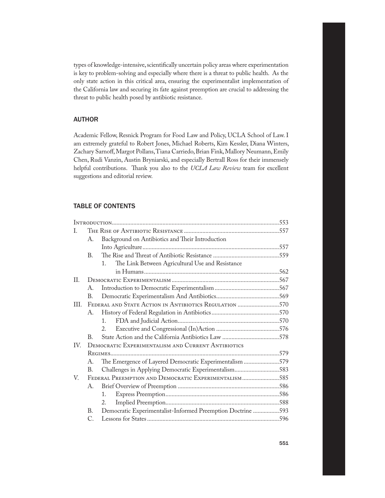types of knowledge-intensive, scientifically uncertain policy areas where experimentation is key to problem-solving and especially where there is a threat to public health. As the only state action in this critical area, ensuring the experimentalist implementation of the California law and securing its fate against preemption are crucial to addressing the threat to public health posed by antibiotic resistance.

# **AUTHOR**

Academic Fellow, Resnick Program for Food Law and Policy, UCLA School of Law. I am extremely grateful to Robert Jones, Michael Roberts, Kim Kessler, Diana Winters, Zachary Sarnoff, Margot Pollans, Tiana Carriedo, Brian Fink, Mallory Neumann, Emily Chen, Rudi Vanzin, Austin Bryniarski, and especially Bertrall Ross for their immensely helpful contributions. Thank you also to the *UCLA Law Review* team for excellent suggestions and editorial review.

# Table of Contents

| T.      |                                                           |                                                             |  |  |
|---------|-----------------------------------------------------------|-------------------------------------------------------------|--|--|
|         | А.                                                        | Background on Antibiotics and Their Introduction            |  |  |
|         |                                                           |                                                             |  |  |
|         | B.                                                        |                                                             |  |  |
|         |                                                           | The Link Between Agricultural Use and Resistance<br>$1_{-}$ |  |  |
|         |                                                           |                                                             |  |  |
| $\Pi$ . |                                                           |                                                             |  |  |
|         | A.                                                        |                                                             |  |  |
|         | B.                                                        |                                                             |  |  |
| III.    | FEDERAL AND STATE ACTION IN ANTIBIOTICS REGULATION 570    |                                                             |  |  |
|         | А.                                                        |                                                             |  |  |
|         |                                                           | $\mathbf{1}$                                                |  |  |
|         |                                                           | $2^{1}$                                                     |  |  |
|         | B.                                                        |                                                             |  |  |
| IV.     | <b>DEMOCRATIC EXPERIMENTALISM AND CURRENT ANTIBIOTICS</b> |                                                             |  |  |
|         |                                                           |                                                             |  |  |
|         | А.                                                        | The Emergence of Layered Democratic Experimentalism 579     |  |  |
|         | В.                                                        | Challenges in Applying Democratic Experimentalism583        |  |  |
| V.      |                                                           | FEDERAL PREEMPTION AND DEMOCRATIC EXPERIMENTALISM585        |  |  |
|         | А.                                                        |                                                             |  |  |
|         |                                                           | 1.                                                          |  |  |
|         |                                                           | 2.                                                          |  |  |
|         | B.                                                        | Democratic Experimentalist-Informed Preemption Doctrine 593 |  |  |
|         | C.                                                        |                                                             |  |  |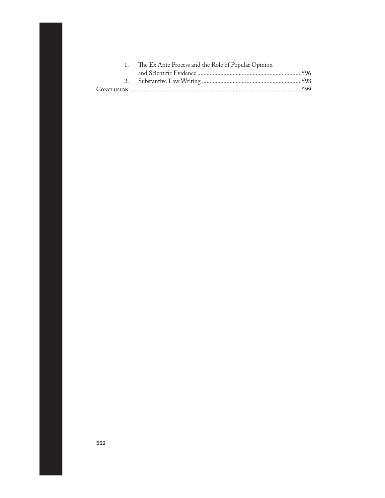| 1. The Ex Ante Process and the Role of Popular Opinion |  |
|--------------------------------------------------------|--|
|                                                        |  |
|                                                        |  |
|                                                        |  |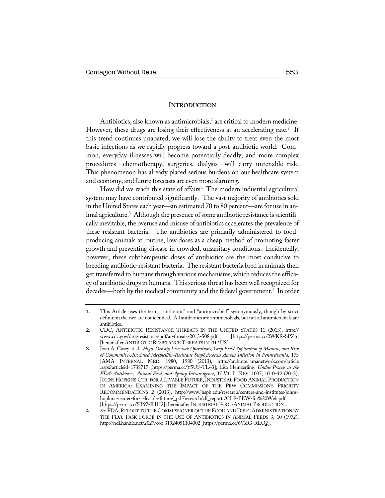## **INTRODUCTION**

Antibiotics, also known as antimicrobials,<sup>1</sup> are critical to modern medicine. However, these drugs are losing their effectiveness at an accelerating rate.<sup>2</sup> If this trend continues unabated, we will lose the ability to treat even the most basic infections as we rapidly progress toward a post-antibiotic world. Common, everyday illnesses will become potentially deadly, and more complex procedures—chemotherapy, surgeries, dialysis—will carry untenable risk. This phenomenon has already placed serious burdens on our healthcare system and economy, and future forecasts are even more alarming.

How did we reach this state of affairs? The modern industrial agricultural system may have contributed significantly. The vast majority of antibiotics sold in the United States each year—an estimated 70 to 80 percent—are for use in animal agriculture.<sup>3</sup> Although the presence of some antibiotic resistance is scientifically inevitable, the overuse and misuse of antibiotics accelerates the prevalence of these resistant bacteria. The antibiotics are primarily administered to foodproducing animals at routine, low doses as a cheap method of promoting faster growth and preventing disease in crowded, unsanitary conditions. Incidentally, however, these subtherapeutic doses of antibiotics are the most conducive to breeding antibiotic-resistant bacteria. The resistant bacteria bred in animals then get transferred to humans through various mechanisms, which reduces the efficacy of antibiotic drugs in humans. This serious threat has been well recognized for decades—both by the medical community and the federal government.<sup>4</sup> In order

<sup>1</sup>. This Article uses the terms "antibiotic" and "antimicrobial" synonymously, though by strict definition the two are not identical. All antibiotics are antimicrobials, but not all antimicrobials are antibiotics.

<sup>2</sup>. CDC, ANTIBIOTIC RESISTANCE THREATS IN THE UNITED STATES 11 (2013), http:// www.cdc.gov/drugresistance/pdf/ar-threats-2013-508.pdf [https://perma.cc/2WKR-SPZ6] [hereinafter ANTIBIOTIC RESISTANCE THREATS IN THE US].

<sup>3</sup>. Joan A. Casey et al., *High-Density Livestock Operations, Crop Field Application of Manure, and Risk of Community-Associated Methicillin-Resistant Staphylococcus Aureus Infection in Pennsylvania*, 173 JAMA INTERNAL MED. 1980, 1980 (2013), http://archinte.jamanetwork.com/article .aspx?articleid=1738717 [https://perma.cc/Y5UF-TL43]; Lisa Heinzerling, *Undue Process at the FDA: Antibiotics, Animal Feed, and Agency Intransigence*, 37 VT. L. REV. 1007, 1010–12 (2013); JOHNS HOPKINS CTR. FOR A LIVABLE FUTURE, INDUSTRIAL FOOD ANIMAL PRODUCTION IN AMERICA: EXAMINING THE IMPACT OF THE PEW COMMISSION'S PRIORITY RECOMMENDATIONS 2 (2013), http://www.jhsph.edu/research/centers-and-institutes/johnshopkins-center-for-a-livable-future/\_pdf/research/clf\_reports/CLF-PEW-for%20Web.pdf [https://perma.cc/ST97-JHH2] [hereinafter INDUSTRIAL FOOD ANIMAL PRODUCTION].

<sup>4.</sup> *See* FDA, REPORT TO THE COMMISSIONER OF THE FOOD AND DRUG ADMINISTRATION BY THE FDA TASK FORCE IN THE USE OF ANTIBIOTICS IN ANIMAL FEEDS 3, 10 (1972), http://hdl.handle.net/2027/coo.31924051104002 [https://perma.cc/6VZG-RLQ2].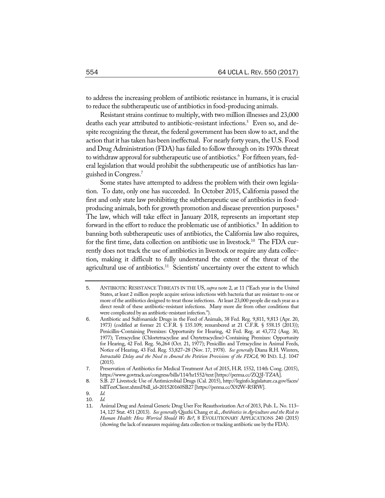to address the increasing problem of antibiotic resistance in humans, it is crucial to reduce the subtherapeutic use of antibiotics in food-producing animals.

Resistant strains continue to multiply, with two million illnesses and 23,000 deaths each year attributed to antibiotic-resistant infections.<sup>5</sup> Even so, and despite recognizing the threat, the federal government has been slow to act, and the action that it has taken has been ineffectual. For nearly forty years, the U.S. Food and Drug Administration (FDA) has failed to follow through on its 1970s threat to withdraw approval for subtherapeutic use of antibiotics.<sup>6</sup> For fifteen years, federal legislation that would prohibit the subtherapeutic use of antibiotics has languished in Congress.7

Some states have attempted to address the problem with their own legislation. To date, only one has succeeded. In October 2015, California passed the first and only state law prohibiting the subtherapeutic use of antibiotics in foodproducing animals, both for growth promotion and disease prevention purposes.<sup>8</sup> The law, which will take effect in January 2018, represents an important step forward in the effort to reduce the problematic use of antibiotics.<sup>9</sup> In addition to banning both subtherapeutic uses of antibiotics, the California law also requires, for the first time, data collection on antibiotic use in livestock.<sup>10</sup> The FDA currently does not track the use of antibiotics in livestock or require any data collection, making it difficult to fully understand the extent of the threat of the agricultural use of antibiotics.<sup>11</sup> Scientists' uncertainty over the extent to which

<sup>5</sup>. ANTIBIOTIC RESISTANCE THREATS IN THE US, *supra* note 2, at 11 ("Each year in the United States, at least 2 million people acquire serious infections with bacteria that are resistant to one or more of the antibiotics designed to treat those infections. At least 23,000 people die each year as a direct result of these antibiotic-resistant infections. Many more die from other conditions that were complicated by an antibiotic-resistant infection.").

<sup>6</sup>. Antibiotic and Sulfonamide Drugs in the Feed of Animals, 38 Fed. Reg. 9,811, 9,813 (Apr. 20, 1973) (codified at former 21 C.F.R. § 135.109; renumbered at 21 C.F.R. § 558.15 (2013)); Penicillin-Containing Premixes: Opportunity for Hearing, 42 Fed. Reg. at 43,772 (Aug. 30, 1977); Tetracycline (Chlortetracycline and Oxytetracycline)-Containing Premixes: Opportunity for Hearing, 42 Fed. Reg. 56,264 (Oct. 21, 1977); Penicillin and Tetracycline in Animal Feeds, Notice of Hearing, 43 Fed. Reg. 53,827–28 (Nov. 17, 1978). *See generally* Diana R.H. Winters, *Intractable Delay and the Need to Amend the Petition Provisions of the FDCA*, 90 IND. L.J. 1047 (2015).

<sup>7</sup>. Preservation of Antibiotics for Medical Treatment Act of 2015, H.R. 1552, 114th Cong. (2015), https://www.govtrack.us/congress/bills/114/hr1552/text[https://perma.cc/ZQ3J-TZ4A].

<sup>8</sup>. S.B. 27 Livestock: Use of Antimicrobial Drugs (Cal. 2015), http://leginfo.legislature.ca.gov/faces/ billTextClient.xhtml?bill\_id=201520160SB27 [https://perma.cc/X92W-R5RW].

<sup>9</sup>. *Id.*

<sup>10</sup>. *Id.*

<sup>11</sup>. Animal Drug and Animal Generic Drug User Fee Reauthorization Act of 2013, Pub. L. No. 113– 14, 127 Stat. 451 (2013). *See generally* Qiuzhi Chang et al., *Antibiotics in Agriculture and the Risk to Human Health: How Worried Should We Be?*, 8 EVOLUTIONARY APPLICATIONS 240 (2015) (showing the lack of measures requiring data collection or tracking antibiotic use by the FDA).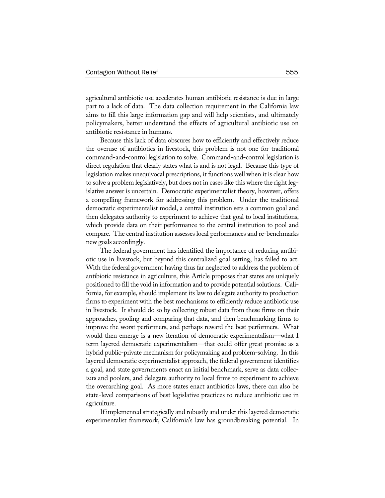agricultural antibiotic use accelerates human antibiotic resistance is due in large part to a lack of data. The data collection requirement in the California law aims to fill this large information gap and will help scientists, and ultimately policymakers, better understand the effects of agricultural antibiotic use on antibiotic resistance in humans.

Because this lack of data obscures how to efficiently and effectively reduce the overuse of antibiotics in livestock, this problem is not one for traditional command-and-control legislation to solve. Command-and-control legislation is direct regulation that clearly states what is and is not legal. Because this type of legislation makes unequivocal prescriptions, it functions well when it is clear how to solve a problem legislatively, but does not in cases like this where the right legislative answer is uncertain. Democratic experimentalist theory, however, offers a compelling framework for addressing this problem. Under the traditional democratic experimentalist model, a central institution sets a common goal and then delegates authority to experiment to achieve that goal to local institutions, which provide data on their performance to the central institution to pool and compare. The central institution assesses local performances and re-benchmarks new goals accordingly.

The federal government has identified the importance of reducing antibiotic use in livestock, but beyond this centralized goal setting, has failed to act. With the federal government having thus far neglected to address the problem of antibiotic resistance in agriculture, this Article proposes that states are uniquely positioned to fill the void in information and to provide potential solutions. California, for example, should implement its law to delegate authority to production firms to experiment with the best mechanisms to efficiently reduce antibiotic use in livestock. It should do so by collecting robust data from these firms on their approaches, pooling and comparing that data, and then benchmarking firms to improve the worst performers, and perhaps reward the best performers. What would then emerge is a new iteration of democratic experimentalism—what I term layered democratic experimentalism—that could offer great promise as a hybrid public-private mechanism for policymaking and problem-solving. In this layered democratic experimentalist approach, the federal government identifies a goal, and state governments enact an initial benchmark, serve as data collectors and poolers, and delegate authority to local firms to experiment to achieve the overarching goal. As more states enact antibiotics laws, there can also be state-level comparisons of best legislative practices to reduce antibiotic use in agriculture.

If implemented strategically and robustly and under this layered democratic experimentalist framework, California's law has groundbreaking potential. In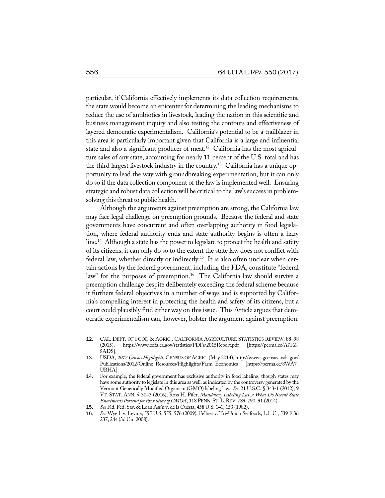particular, if California effectively implements its data collection requirements, the state would become an epicenter for determining the leading mechanisms to reduce the use of antibiotics in livestock, leading the nation in this scientific and business management inquiry and also testing the contours and effectiveness of layered democratic experimentalism. California's potential to be a trailblazer in this area is particularly important given that California is a large and influential state and also a significant producer of meat.<sup>12</sup> California has the most agriculture sales of any state, accounting for nearly 11 percent of the U.S. total and has the third largest livestock industry in the country.13 California has a unique opportunity to lead the way with groundbreaking experimentation, but it can only do so if the data collection component of the law is implemented well. Ensuring strategic and robust data collection will be critical to the law's success in problemsolving this threat to public health.

Although the arguments against preemption are strong, the California law may face legal challenge on preemption grounds. Because the federal and state governments have concurrent and often overlapping authority in food legislation, where federal authority ends and state authority begins is often a hazy line.<sup>14</sup> Although a state has the power to legislate to protect the health and safety of its citizens, it can only do so to the extent the state law does not conflict with federal law, whether directly or indirectly.<sup>15</sup> It is also often unclear when certain actions by the federal government, including the FDA, constitute "federal law" for the purposes of preemption.<sup>16</sup> The California law should survive a preemption challenge despite deliberately exceeding the federal scheme because it furthers federal objectives in a number of ways and is supported by California's compelling interest in protecting the health and safety of its citizens, but a court could plausibly find either way on this issue. This Article argues that democratic experimentalism can, however, bolster the argument against preemption.

<sup>12</sup>. CAL. DEPT. OF FOOD & AGRIC., CALIFORNIA AGRICULTURE STATISTICS REVIEW, 88–98 (2015), https://www.cdfa.ca.gov/statistics/PDFs/2015Report.pdf [https://perma.cc/A7FZ-8ADS].

<sup>13</sup>. USDA, *2012 Census Highlights*, CENSUS OF AGRIC. (May 2014), http://www.agcensus.usda.gov/ Publications/2012/Online\_Resources/Highlights/Farm\_Economics [https://perma.cc/8WA7- UBHA].

<sup>14</sup>. For example, the federal government has exclusive authority in food labeling, though states may have some authority to legislate in this area as well, as indicated by the controversy generated by the Vermont Genetically Modified Organism (GMO) labeling law. *See* 21 U.S.C. § 343-1 (2012); 9 VT. STAT. ANN. § 3043 (2016); Ross H. Pifer, *Mandatory Labeling Laws: What Do Recent State Enactments Portend for the Future of GMOs?*, 118 PENN. ST. L. REV. 789, 790–91 (2014).

<sup>15</sup>. *See* Fid. Fed. Sav. & Loan Ass'n v. de la Cuesta, 458 U.S. 141, 153 (1982).

<sup>16</sup>. *See* Wyeth v. Levine, 555 U.S. 555, 576 (2009); Fellner v. Tri-Union Seafoods, L.L.C., 539 F.3d 237, 244 (3d Cir. 2008).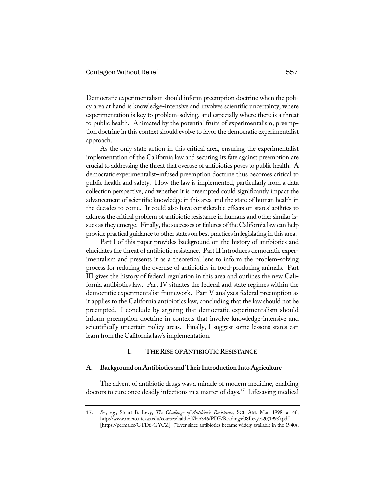Democratic experimentalism should inform preemption doctrine when the policy area at hand is knowledge-intensive and involves scientific uncertainty, where experimentation is key to problem-solving, and especially where there is a threat to public health. Animated by the potential fruits of experimentalism, preemption doctrine in this context should evolve to favor the democratic experimentalist approach.

As the only state action in this critical area, ensuring the experimentalist implementation of the California law and securing its fate against preemption are crucial to addressing the threat that overuse of antibiotics poses to public health. A democratic experimentalist–infused preemption doctrine thus becomes critical to public health and safety. How the law is implemented, particularly from a data collection perspective, and whether it is preempted could significantly impact the advancement of scientific knowledge in this area and the state of human health in the decades to come. It could also have considerable effects on states' abilities to address the critical problem of antibiotic resistance in humans and other similar issues as they emerge. Finally, the successes or failures of the California law can help provide practical guidance to otherstates on best practicesin legislating in this area.

Part I of this paper provides background on the history of antibiotics and elucidates the threat of antibiotic resistance. Part II introduces democratic experimentalism and presents it as a theoretical lens to inform the problem-solving process for reducing the overuse of antibiotics in food-producing animals. Part III gives the history of federal regulation in this area and outlines the new California antibiotics law. Part IV situates the federal and state regimes within the democratic experimentalist framework. Part V analyzes federal preemption as it applies to the California antibiotics law, concluding that the law should not be preempted. I conclude by arguing that democratic experimentalism should inform preemption doctrine in contexts that involve knowledge-intensive and scientifically uncertain policy areas. Finally, I suggest some lessons states can learn from the California law'simplementation.

## **I. THERISEOFANTIBIOTICRESISTANCE**

#### **A. Background onAntibiotics andTheirIntroductionIntoAgriculture**

The advent of antibiotic drugs was a miracle of modern medicine, enabling doctors to cure once deadly infections in a matter of days.<sup>17</sup> Lifesaving medical

<sup>17</sup>. *See, e.g.*, Stuart B. Levy, *The Challenge of Antibiotic Resistance*, SCI. AM. Mar. 1998, at 46, http://www.micro.utexas.edu/courses/kalthoff/bio346/PDF/Readings/08Levy%20(1998).pdf [https://perma.cc/GTD6-GYCZ] ("Ever since antibiotics became widely available in the 1940s,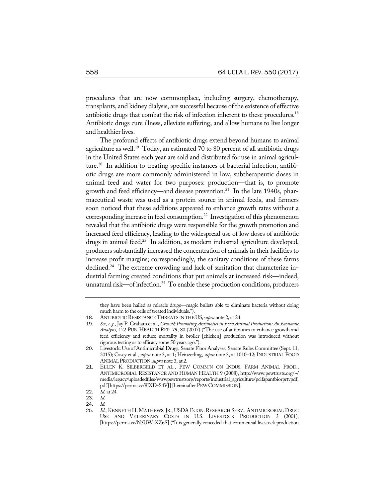procedures that are now commonplace, including surgery, chemotherapy, transplants, and kidney dialysis, are successful because of the existence of effective antibiotic drugs that combat the risk of infection inherent to these procedures.<sup>18</sup> Antibiotic drugs cure illness, alleviate suffering, and allow humans to live longer and healthier lives.

The profound effects of antibiotic drugs extend beyond humans to animal agriculture as well.<sup>19</sup> Today, an estimated 70 to 80 percent of all antibiotic drugs in the United States each year are sold and distributed for use in animal agriculture.20 In addition to treating specific instances of bacterial infection, antibiotic drugs are more commonly administered in low, subtherapeutic doses in animal feed and water for two purposes: production—that is, to promote growth and feed efficiency—and disease prevention.<sup>21</sup> In the late 1940s, pharmaceutical waste was used as a protein source in animal feeds, and farmers soon noticed that these additions appeared to enhance growth rates without a corresponding increase in feed consumption.<sup>22</sup> Investigation of this phenomenon revealed that the antibiotic drugs were responsible for the growth promotion and increased feed efficiency, leading to the widespread use of low doses of antibiotic drugs in animal feed.<sup>23</sup> In addition, as modern industrial agriculture developed, producers substantially increased the concentration of animals in their facilities to increase profit margins; correspondingly, the sanitary conditions of these farms declined.<sup>24</sup> The extreme crowding and lack of sanitation that characterize industrial farming created conditions that put animals at increased risk—indeed, unnatural risk—of infection.<sup>25</sup> To enable these production conditions, producers

they have been hailed as miracle drugs—magic bullets able to eliminate bacteria without doing much harm to the cells of treated individuals.").

<sup>18.</sup> ANTIBIOTIC RESISTANCE THREATS IN THE US, *supra* note 2, at 24.

<sup>19</sup>. *See, e.g.*, Jay P. Graham et al., *Growth Promoting Antibiotics in Food Animal Production: An Economic Analysis*, 122 PUB. HEALTH REP. 79, 80 (2007) ("The use of antibiotics to enhance growth and feed efficiency and reduce mortality in broiler [chicken] production was introduced without rigorous testing as to efficacy some 50 years ago.").

<sup>20.</sup> Livestock: Use of Antimicrobial Drugs, Senate Floor Analyses, Senate Rules Committee (Sept. 11, 2015); Casey et al., *supra* note 3, at 1; Heinzerling, *supra* note 3, at 1010–12; INDUSTRIAL FOOD ANIMALPRODUCTION,*supra* note 3, at 2.

<sup>21</sup>. ELLEN K. SILBERGELD ET AL., PEW COMM'N ON INDUS. FARM ANIMAL PROD., ANTIMICROBIAL RESISTANCE AND HUMAN HEALTH 9 (2008), http://www.pewtrusts.org/~/ media/legacy/uploadedfiles/wwwpewtrustsorg/reports/industrial\_agriculture/pcifapantbiorprtvpdf. pdf [https://perma.cc/8JXD-S4VJ] [hereinafter PEW COMMISSION].

<sup>22</sup>. *Id.* at 24.

<sup>23</sup>. *Id.*

<sup>24</sup>. *Id.*

Id.; KENNETH H. MATHEWS, JR., USDA ECON. RESEARCH SERV., ANTIMICROBIAL DRUG USE AND VETERINARY COSTS IN U.S. LIVESTOCK PRODUCTION 3 (2001), [https://perma.cc/N3UW-XZ6S] ("It is generally conceded that commercial livestock production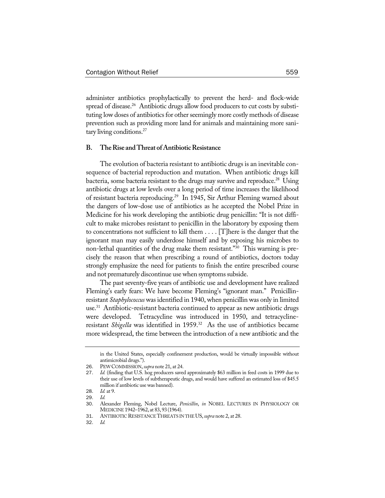administer antibiotics prophylactically to prevent the herd- and flock-wide spread of disease.<sup>26</sup> Antibiotic drugs allow food producers to cut costs by substituting low doses of antibiotics for other seemingly more costly methods of disease prevention such as providing more land for animals and maintaining more sanitary living conditions.<sup>27</sup>

## **B. TheRise andThreat ofAntibioticResistance**

The evolution of bacteria resistant to antibiotic drugs is an inevitable consequence of bacterial reproduction and mutation. When antibiotic drugs kill bacteria, some bacteria resistant to the drugs may survive and reproduce.<sup>28</sup> Using antibiotic drugs at low levels over a long period of time increases the likelihood of resistant bacteria reproducing.29 In 1945, Sir Arthur Fleming warned about the dangers of low-dose use of antibiotics as he accepted the Nobel Prize in Medicine for his work developing the antibiotic drug penicillin: "It is not difficult to make microbes resistant to penicillin in the laboratory by exposing them to concentrations not sufficient to kill them . . . . [T]here is the danger that the ignorant man may easily underdose himself and by exposing his microbes to non-lethal quantities of the drug make them resistant."30 This warning is precisely the reason that when prescribing a round of antibiotics, doctors today strongly emphasize the need for patients to finish the entire prescribed course and not prematurely discontinue use when symptoms subside.

The past seventy-five years of antibiotic use and development have realized Fleming's early fears: We have become Fleming's "ignorant man." Penicillinresistant *Staphylococcus* was identified in 1940, when penicillin was only in limited use.31 Antibiotic-resistant bacteria continued to appear as new antibiotic drugs were developed. Tetracycline was introduced in 1950, and tetracyclineresistant *Shigella* was identified in 1959.<sup>32</sup> As the use of antibiotics became more widespread, the time between the introduction of a new antibiotic and the

in the United States, especially confinement production, would be virtually impossible without antimicrobial drugs.").

<sup>26</sup>. PEWCOMMISSION,*supra* note 21, at 24.

<sup>27</sup>. *Id.* (finding that U.S. hog producers saved approximately \$63 million in feed costs in 1999 due to their use of low levels of subtherapeutic drugs, and would have suffered an estimated loss of \$45.5 million if antibiotic use was banned).

<sup>28</sup>. *Id.* at 9.

<sup>29</sup>. *Id.*

<sup>30</sup>. Alexander Fleming, Nobel Lecture, *Penicillin*, *in* NOBEL LECTURES IN PHYSIOLOGY OR MEDICINE1942–1962, at 83, 93 (1964).

<sup>31</sup>. ANTIBIOTIC RESISTANCETHREATS IN THEUS,*supra* note 2, at 28.

<sup>32</sup>. *Id.*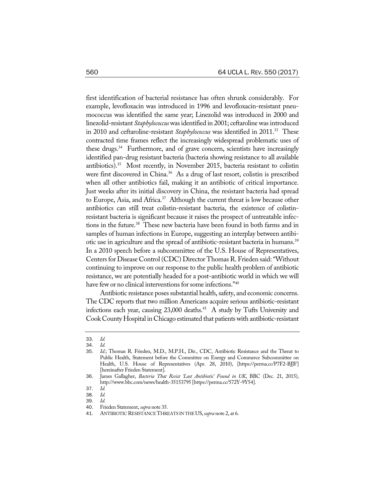first identification of bacterial resistance has often shrunk considerably. For example, levofloxacin was introduced in 1996 and levofloxacin-resistant pneumococcus was identified the same year; Linezolid was introduced in 2000 and linezolid-resistant *Staphylococcus*wasidentified in 2001; ceftarolinewasintroduced in 2010 and ceftaroline-resistant *Staphylococcus* was identified in 2011.<sup>33</sup> These contracted time frames reflect the increasingly widespread problematic uses of these drugs.<sup>34</sup> Furthermore, and of grave concern, scientists have increasingly identified pan-drug resistant bacteria (bacteria showing resistance to all available antibiotics).<sup>35</sup> Most recently, in November 2015, bacteria resistant to colistin were first discovered in China.<sup>36</sup> As a drug of last resort, colistin is prescribed when all other antibiotics fail, making it an antibiotic of critical importance. Just weeks after its initial discovery in China, the resistant bacteria had spread to Europe, Asia, and Africa.<sup>37</sup> Although the current threat is low because other antibiotics can still treat colistin-resistant bacteria, the existence of colistinresistant bacteria is significant because it raises the prospect of untreatable infections in the future.<sup>38</sup> These new bacteria have been found in both farms and in samples of human infections in Europe, suggesting an interplay between antibiotic use in agriculture and the spread of antibiotic-resistant bacteria in humans.<sup>39</sup> In a 2010 speech before a subcommittee of the U.S. House of Representatives, Centers for Disease Control (CDC) Director Thomas R. Frieden said: "Without continuing to improve on our response to the public health problem of antibiotic resistance, we are potentially headed for a post-antibiotic world in which we will have few or no clinical interventions for some infections."<sup>40</sup>

Antibiotic resistance poses substantial health, safety, and economic concerns. The CDC reports that two million Americans acquire serious antibiotic-resistant infections each year, causing  $23,000$  deaths.<sup>41</sup> A study by Tufts University and Cook County Hospital in Chicago estimated that patients with antibiotic-resistant

<sup>33</sup>. *Id.*

<sup>34</sup>. *Id.* Id.; Thomas R. Frieden, M.D., M.P.H., Dir., CDC, Antibiotic Resistance and the Threat to Public Health, Statement before the Committee on Energy and Commerce Subcommittee on Health, U.S. House of Representatives (Apr. 28, 2010), [https://perma.cc/P7F2-BJJF] [hereinafter Frieden Statement].

<sup>36</sup>. James Gallagher, *Bacteria That Resist 'Last Antibiotic' Found in UK*, BBC (Dec. 21, 2015), http://www.bbc.com/news/health-35153795 [https://perma.cc/572Y-9Y54].

<sup>37</sup>. *Id.*

<sup>38</sup>. *Id.*

<sup>39</sup>. *Id.*

<sup>40</sup>. Frieden Statement, *supra* note 35.

<sup>41</sup>. ANTIBIOTIC RESISTANCETHREATS IN THEUS,*supra* note 2, at 6.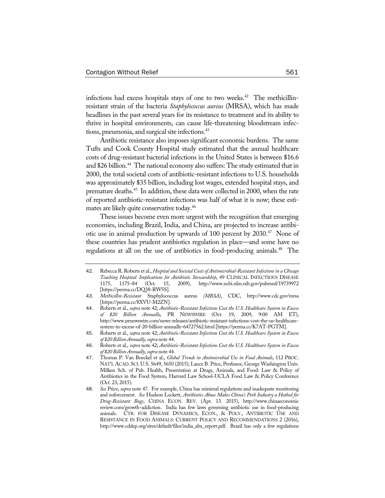infections had excess hospitals stays of one to two weeks.<sup>42</sup> The methicillinresistant strain of the bacteria *Staphylococcus aureus* (MRSA), which has made headlines in the past several years for its resistance to treatment and its ability to thrive in hospital environments, can cause life-threatening bloodstream infections, pneumonia, and surgical site infections.<sup>43</sup>

Antibiotic resistance also imposes significant economic burdens. The same Tufts and Cook County Hospital study estimated that the annual healthcare costs of drug-resistant bacterial infections in the United States is between \$16.6 and \$26 billion.<sup>44</sup> The national economy also suffers: The study estimated that in 2000, the total societal costs of antibiotic-resistant infections to U.S. households was approximately \$35 billion, including lost wages, extended hospital stays, and premature deaths.<sup>45</sup> In addition, these data were collected in 2000, when the rate of reported antibiotic-resistant infections was half of what it is now; these estimates are likely quite conservative today.46

These issues become even more urgent with the recognition that emerging economies, including Brazil, India, and China, are projected to increase antibiotic use in animal production by upwards of 100 percent by 2030.<sup>47</sup> None of these countries has prudent antibiotics regulation in place—and some have no regulations at all on the use of antibiotics in food-producing animals.<sup>48</sup> The

<sup>42</sup>. Rebecca R. Roberts et al., *Hospital and SocietalCostsof Antimicrobial-ResistantInfections in aChicago Teaching Hospital: Implications for Antibiotic Stewardship*, 49 CLINICAL INFECTIOUS DISEASE 2009), http://www.ncbi.nlm.nih.gov/pubmed/19739972 [https://perma.cc/DQ38-RW5S].

<sup>43</sup>. *Methicillin-Resistant* Staphylococcus aureus *(MRSA)*, CDC, http://www.cdc.gov/mrsa [https://perma.cc/8XVU-M2ZN].

<sup>44</sup>. Roberts et al., *supra* note 42; *Antibiotic-Resistant Infections Cost the U.S. Healthcare System in Excess of \$20 Billion Annually*, PR NEWSWIRE (Oct. 19, 2009, 9:00 AM ET), http://www.prnewswire.com/news-releases/antibiotic-resistant-infections-cost-the-us-healthcaresystem-in-excess-of-20-billion-annually-64727562.html[https://perma.cc/K7AT-PGTM].

<sup>45</sup>. Roberts et al., *supra* note 42; *Antibiotic-Resistant Infections Cost the U.S. Healthcare System in Excess of \$20 Billion Annually*, *supra* note 44.

<sup>46</sup>. Roberts et al., *supra* note 42; *Antibiotic-Resistant Infections Cost the U.S. Healthcare System in Excess of \$20 Billion Annually*, *supra* note 44.

<sup>47</sup>. Thomas P. Van Boeckel et al., *Global Trends in Antimicrobial Use in Food Animals*, 112 PROC. NAT'L ACAD. SCI. U.S. 5649, 5650 (2015); Lance B. Price, Professor, George Washington Univ. Milken Sch. of Pub. Health, Presentation at Drugs, Animals, and Food: Law & Policy of Antibiotics in the Food System, Harvard Law School-UCLA Food Law & Policy Conference (Oct. 23, 2015).

<sup>48</sup>. *See* Price, *supra* note 47. For example, China has minimal regulations and inadequate monitoring and enforcement. *See* Hudson Lockett, *Antibiotics Abuse Makes China's Pork Industry a Hotbed for Drug-Resistant Bugs*, CHINA ECON. REV. (Apr. 13. 2015), http://www.chinaeconomic review.com/growth-addiction. India has few laws governing antibiotic use in food-producing animals. CTR. FOR DISEASE DYNAMICS, ECON., & POLY., ANTIBIOTIC USE AND RESISTANCE IN FOOD ANIMALS: CURRENT POLICY AND RECOMMENDATIONS 2 (2016), http://www.cddep.org/sites/default/files/india\_abx\_report.pdf. Brazil has only a few regulations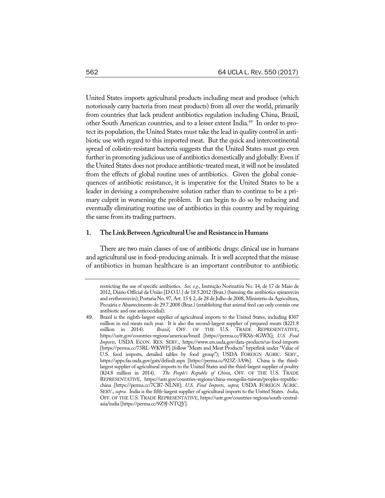United States imports agricultural products including meat and produce (which notoriously carry bacteria from meat products) from all over the world, primarily from countries that lack prudent antibiotics regulation including China, Brazil, other South American countries, and to a lesser extent India.49 In order to protect its population, the United States must take the lead in quality control in antibiotic use with regard to this imported meat. But the quick and intercontinental spread of colistin-resistant bacteria suggests that the United States must go even further in promoting judicious use of antibiotics domestically and globally: Even if the United States does not produce antibiotic-treated meat, it will not be insulated from the effects of global routine uses of antibiotics. Given the global consequences of antibiotic resistance, it is imperative for the United States to be a leader in devising a comprehensive solution rather than to continue to be a primary culprit in worsening the problem. It can begin to do so by reducing and eventually eliminating routine use of antibiotics in this country and by requiring the same from its trading partners.

#### **1. TheLinkBetweenAgriculturalUse andResistance inHumans**

There are two main classes of use of antibiotic drugs: clinical use in humans and agricultural use in food-producing animals. It is well accepted that the misuse of antibiotics in human healthcare is an important contributor to antibiotic

restricting the use of specific antibiotics. *See, e.g.*, Instrução Normativa No. 14, de 17 de Maio de 2012, Diário Official da União [D.O.U.] de 18.5.2012 (Braz.) (banning the antibiotics spiramycin and erythromycin); Portaria No. 97, Art. 15 § 2, de 28 de Julho de 2008, Ministerio da Agricultura, Pecuária e Abastecimento de 29.7.2008 (Braz.) (establishing that animal feed can only contain one antibiotic and one anticoccidial).

<sup>49</sup>. Brazil is the eighth-largest supplier of agricultural imports to the United States, including \$307 million in red meats each year. It is also the second-largest supplier of prepared meats (\$221.8 million in 2014). *Brazil*, OFF. OF THE U.S. TRADE REPRESENTATIVE, https://ustr.gov/countries-regions/americas/brazil [https://perma.cc/FRX6-4GWX]; *U.S. Food Imports*, USDA ECON. RES. SERV., https://www.ers.usda.gov/data-products/us-food-imports [https://perma.cc/73RL-WKWP] (follow "Meats and Meat Products" hyperlink under "Value of U.S. food imports, detailed tables by food group"); USDA FOREIGN AGRIC. SERV., https://apps.fas.usda.gov/gats/default.aspx [https://perma.cc/923Z-3A96]. China is the thirdlargest supplier of agricultural imports to the United States and the third-largest supplier of poultry (\$24.8 million in 2014). *The People's Republic of China*, OFF. OF THE U.S. TRADE REPRESENTATIVE, https://ustr.gov/countries-regions/china-mongolia-taiwan/peoples-republicchina [https://perma.cc/7CB7-NLN8]; *U.S. Food Imports*, *supra*; USDA FOREIGN AGRIC. SERV., *supra*. India is the fifth-largest supplier of agricultural imports to the United States. *India*, OFF. OF THE U.S. TRADE REPRESENTATIVE, https://ustr.gov/countries-regions/south-centralasia/india [https://perma.cc/9Z9J-NTQY].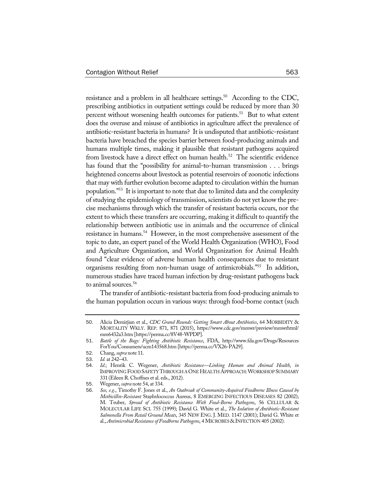resistance and a problem in all healthcare settings.<sup>50</sup> According to the CDC, prescribing antibiotics in outpatient settings could be reduced by more than 30 percent without worsening health outcomes for patients.<sup>51</sup> But to what extent does the overuse and misuse of antibiotics in agriculture affect the prevalence of antibiotic-resistant bacteria in humans? It is undisputed that antibiotic-resistant bacteria have breached the species barrier between food-producing animals and humans multiple times, making it plausible that resistant pathogens acquired from livestock have a direct effect on human health.<sup>52</sup> The scientific evidence has found that the "possibility for animal-to-human transmission . . . brings heightened concerns about livestock as potential reservoirs of zoonotic infections that may with further evolution become adapted to circulation within the human population."53 It is important to note that due to limited data and the complexity of studying the epidemiology of transmission, scientists do not yet know the precise mechanisms through which the transfer of resistant bacteria occurs, nor the extent to which these transfers are occurring, making it difficult to quantify the relationship between antibiotic use in animals and the occurrence of clinical resistance in humans.<sup>54</sup> However, in the most comprehensive assessment of the topic to date, an expert panel of the World Health Organization (WHO), Food and Agriculture Organization, and World Organization for Animal Health found "clear evidence of adverse human health consequences due to resistant organisms resulting from non-human usage of antimicrobials."55 In addition, numerous studies have traced human infection by drug-resistant pathogens back to animal sources.<sup>56</sup>

The transfer of antibiotic-resistant bacteria from food-producing animals to the human population occurs in various ways: through food-borne contact (such

<sup>50</sup>. Alicia Demirjian et al., *CDC Grand Rounds: Getting Smart About Antibiotics*, 64 MORBIDITY & MORTALITY WKLY. REP. 871, 871 (2015), https://www.cdc.gov/mmwr/preview/mmwrhtml/ mm6432a3.htm [https://perma.cc/8V48-WPDP].

<sup>51</sup>. *Battle of the Bugs: Fighting Antibiotic Resistance*, FDA, http://www.fda.gov/Drugs/Resources ForYou/Consumers/ucm143568.htm [https://perma.cc/VX26-PA29].

<sup>52</sup>. Chang, *supra* note 11.

<sup>53</sup>. *Id.* at 242–43.

<sup>54</sup>. *Id.*; Henrik C. Wegener, *Antibiotic Resistance—Linking Human and Animal Health*, *in* IMPROVING FOOD SAFETYTHROUGH AONEHEALTH APPROACH:WORKSHOP SUMMARY 331 (Eileen R. Choffnes et al. eds., 2012).

<sup>55</sup>. Wegener, *supra* note 54, at 334.

<sup>56</sup>. *See, e.g.*, Timothy F. Jones et al., *An Outbreak of Community-Acquired Foodborne Illness Caused by Methicillin-Resistant* Staphylococcus Aureus, 8 EMERGING INFECTIOUS DISEASES 82 (2002); M. Teuber, *Spread of Antibiotic Resistance With Food-Borne Pathogens*, 56 CELLULAR & MOLECULAR LIFE SCI. 755 (1999); David G. White et al., *The Isolation of Antibiotic-Resistant Salmonella From Retail Ground Meats*, 345 NEW ENG. J. MED. 1147 (2001); David G. White et al., *Antimicrobial Resistance of Foodborne Pathogens*, 4 MICROBES & INFECTION 405 (2002).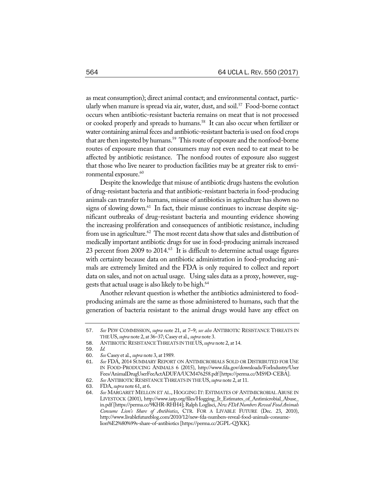as meat consumption); direct animal contact; and environmental contact, particularly when manure is spread via air, water, dust, and soil.<sup>57</sup> Food-borne contact occurs when antibiotic-resistant bacteria remains on meat that is not processed or cooked properly and spreads to humans.<sup>58</sup> It can also occur when fertilizer or water containing animal feces and antibiotic-resistant bacteria is used on food crops that are then ingested by humans.<sup>59</sup> This route of exposure and the nonfood-borne routes of exposure mean that consumers may not even need to eat meat to be affected by antibiotic resistance. The nonfood routes of exposure also suggest that those who live nearer to production facilities may be at greater risk to environmental exposure.<sup>60</sup>

Despite the knowledge that misuse of antibiotic drugs hastens the evolution of drug-resistant bacteria and that antibiotic-resistant bacteria in food-producing animals can transfer to humans, misuse of antibiotics in agriculture has shown no signs of slowing down.<sup>61</sup> In fact, their misuse continues to increase despite significant outbreaks of drug-resistant bacteria and mounting evidence showing the increasing proliferation and consequences of antibiotic resistance, including from use in agriculture.<sup>62</sup> The most recent data show that sales and distribution of medically important antibiotic drugs for use in food-producing animals increased 23 percent from 2009 to 2014.<sup>63</sup> It is difficult to determine actual usage figures with certainty because data on antibiotic administration in food-producing animals are extremely limited and the FDA is only required to collect and report data on sales, and not on actual usage. Using sales data as a proxy, however, suggests that actual usage is also likely to be high.<sup>64</sup>

Another relevant question is whether the antibiotics administered to foodproducing animals are the same as those administered to humans, such that the generation of bacteria resistant to the animal drugs would have any effect on

<sup>57</sup>. *See* PEW COMMISSION, *supra* note 21, at 7–9; *see also* ANTIBIOTIC RESISTANCE THREATS IN THEUS,*supra* note 2, at 36–37; Casey et al., *supra* note 3.

<sup>58</sup>. ANTIBIOTIC RESISTANCETHREATS IN THEUS,*supra* note 2, at 14.

<sup>59</sup>. *Id.*

<sup>60</sup>. *See* Casey et al., *supra* note 3, at 1989.

<sup>61</sup>. *See* FDA, 2014 SUMMARY REPORT ON ANTIMICROBIALS SOLD OR DISTRIBUTED FOR USE IN FOOD-PRODUCING ANIMALS 6 (2015), http://www.fda.gov/downloads/ForIndustry/User Fees/AnimalDrugUserFeeActADUFA/UCM476258.pdf[https://perma.cc/MS9D-CEBA].

<sup>62</sup>. *See* ANTIBIOTIC RESISTANCETHREATS IN THEUS,*supra* note 2, at 11.

<sup>63</sup>. FDA, *supra* note 61, at 6.

<sup>64</sup>. *See* MARGARET MELLON ET AL., HOGGING IT: ESTIMATES OF ANTIMICROBIAL ABUSE IN LIVESTOCK (2001), http://www.iatp.org/files/Hogging\_It\_Estimates\_of\_Antimicrobial\_Abuse\_ in.pdf [https://perma.cc/9KHR-RHH4]; Ralph Loglisci, *New FDA NumbersReveal Food Animals Consume Lion's Share of Antibiotics*, CTR. FOR A LIVABLE FUTURE (Dec. 23, 2010), http://www.livablefutureblog.com/2010/12/new-fda-numbers-reveal-food-animals-consumelion%E2%80%99s-share-of-antibiotics [https://perma.cc/2GPL-QYKK].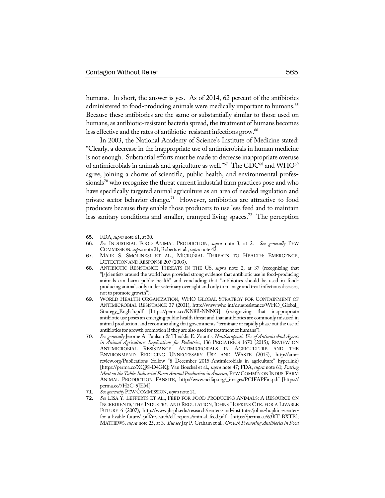humans. In short, the answer is yes. As of 2014, 62 percent of the antibiotics administered to food-producing animals were medically important to humans.<sup>65</sup> Because these antibiotics are the same or substantially similar to those used on humans, as antibiotic-resistant bacteria spread, the treatment of humans becomes less effective and the rates of antibiotic-resistant infections grow.<sup>66</sup>

In 2003, the National Academy of Science's Institute of Medicine stated: "Clearly, a decrease in the inappropriate use of antimicrobials in human medicine is not enough. Substantial efforts must be made to decrease inappropriate overuse of antimicrobials in animals and agriculture as well."<sup>67</sup> The CDC<sup>68</sup> and WHO<sup>69</sup> agree, joining a chorus of scientific, public health, and environmental professionals<sup>70</sup> who recognize the threat current industrial farm practices pose and who have specifically targeted animal agriculture as an area of needed regulation and private sector behavior change.<sup>71</sup> However, antibiotics are attractive to food producers because they enable those producers to use less feed and to maintain less sanitary conditions and smaller, cramped living spaces.<sup>72</sup> The perception

<sup>65</sup>. FDA,*supra* note 61, at 30.

<sup>66</sup>. *See* INDUSTRIAL FOOD ANIMAL PRODUCTION, *supra* note 3, at 2. *See generally* PEW COMMISSION,*supra* note 21; Roberts et al., *supra* note 42.

<sup>67</sup>. MARK S. SMOLINKSI ET AL., MICROBIAL THREATS TO HEALTH: EMERGENCE, DETECTIONAND RESPONSE 207 (2003).

<sup>68</sup>. ANTIBIOTIC RESISTANCE THREATS IN THE US, *supra* note 2, at 37 (recognizing that "[s]cientists around the world have provided strong evidence that antibiotic use in food-producing animals can harm public health" and concluding that "antibiotics should be used in foodproducing animals only under veterinary oversight and only to manage and treat infectious diseases, not to promote growth").

<sup>69</sup>. WORLD HEALTH ORGANIZATION, WHO GLOBAL STRATEGY FOR CONTAINMENT OF ANTIMICROBIAL RESISTANCE 37 (2001), http://www.who.int/drugresistance/WHO\_Global\_ Strategy\_English.pdf [https://perma.cc/KN8B-NNNG] (recognizing that inappropriate antibiotic use poses an emerging public health threat and that antibiotics are commonly misused in animal production, and recommending that governments "terminate or rapidly phase out the use of antibiotics for growth promotion if they are also used for treatment of humans").

<sup>70</sup>. *See generally* Jerome A. Paulson & Theoklis E. Zaoutis, *Nontherapeutic Use of Antimicrobial Agents in Animal Agriculture: Implications for Pediatrics*, 136 PEDIATRICS 1670 (2015); REVIEW ON ANTIMICROBIAL RESISTANCE, ANTIMICROBIALS IN AGRICULTURE AND THE ENVIRONMENT: REDUCING UNNECESSARY USE AND WASTE (2015), http://amrreview.org/Publications (follow "8 December 2015-Antimicrobials in agriculture" hyperlink) [https://perma.cc/XQ98-D4GK]; Van Boeckel et al., *supra* note 47; FDA, *supra* note 61; *Putting Meaton theTable:Industrial Farm Animal Production in America*, PEWCOMM'N ON INDUS.FARM ANIMAL PRODUCTION FANSITE, http://www.ncifap.org/\_images/PCIFAPFin.pdf [https:// perma.cc/7H2G-9JEM].

<sup>71</sup>. *See generally* PEWCOMMISSION,*supra* note 21.

<sup>72</sup>. *See* LISA Y. LEFFERTS ET AL., FEED FOR FOOD PRODUCING ANIMALS: A RESOURCE ON INGREDIENTS, THE INDUSTRY, AND REGULATION, JOHNS HOPKINS CTR. FOR A LIVABLE FUTURE 6 (2007), http://www.jhsph.edu/research/centers-and-institutes/johns-hopkins-centerfor-a-livable-future/\_pdf/research/clf\_reports/animal\_feed.pdf [https://perma.cc/63KT-BXTB]; MATHEWS, *supra* note 25, at 3. *But see* Jay P. Graham et al., *Growth Promoting Antibiotics in Food*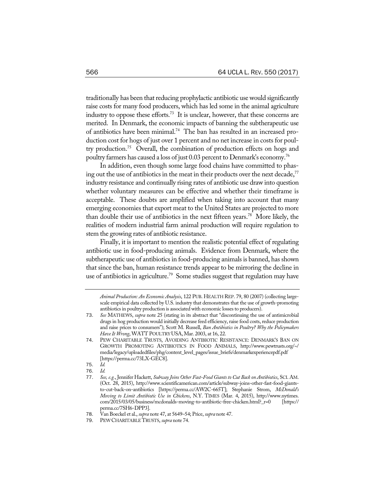traditionally has been that reducing prophylactic antibiotic use would significantly raise costs for many food producers, which has led some in the animal agriculture industry to oppose these efforts.<sup>73</sup> It is unclear, however, that these concerns are merited. In Denmark, the economic impacts of banning the subtherapeutic use of antibiotics have been minimal.74 The ban has resulted in an increased production cost for hogs of just over 1 percent and no net increase in costs for poultry production.75 Overall, the combination of production effects on hogs and poultry farmers has caused a loss of just 0.03 percent to Denmark's economy.76

In addition, even though some large food chains have committed to phasing out the use of antibiotics in the meat in their products over the next decade,  $77$ industry resistance and continually rising rates of antibiotic use draw into question whether voluntary measures can be effective and whether their timeframe is acceptable. These doubts are amplified when taking into account that many emerging economies that export meat to the United States are projected to more than double their use of antibiotics in the next fifteen years.78 More likely, the realities of modern industrial farm animal production will require regulation to stem the growing rates of antibiotic resistance.

Finally, it is important to mention the realistic potential effect of regulating antibiotic use in food-producing animals. Evidence from Denmark, where the subtherapeutic use of antibiotics in food-producing animals is banned, has shown that since the ban, human resistance trends appear to be mirroring the decline in use of antibiotics in agriculture.<sup>79</sup> Some studies suggest that regulation may have

*Animal Production: An Economic Analysis*, 122 PUB. HEALTH REP. 79, 80 (2007) (collecting largescale empirical data collected by U.S. industry that demonstrates that the use of growth-promoting antibiotics in poultry production is associated with economic losses to producers).

See MATHEWS, *supra* note 25 (stating in its abstract that "discontinuing the use of antimicrobial drugs in hog production would initially decrease feed efficiency, raise food costs, reduce production and raise prices to consumers"); Scott M. Russell, *Ban Antibiotics in Poultry? Why the Policymakers HaveIt Wrong*, WATT POULTRYUSA,Mar. 2003, at 16, 22.

<sup>74</sup>. PEW CHARITABLE TRUSTS, AVOIDING ANTIBIOTIC RESISTANCE: DENMARK'S BAN ON GROWTH PROMOTING ANTIBIOTICS IN FOOD ANIMALS, http://www.pewtrusts.org/~/ media/legacy/uploadedfiles/phg/content\_level\_pages/issue\_briefs/denmarkexperiencepdf.pdf [https://perma.cc/73LX-GEC8].

<sup>75</sup>. *Id.*

<sup>76</sup>. *Id.* 77. *See, e.g.*, Jennifer Hackett, *Subway Joins Other Fast-Food Giants to Cut Back on Antibiotics*, SCI. AM. (Oct. 28, 2015), http://www.scientificamerican.com/article/subway-joins-other-fast-food-giantsto-cut-back-on-antibiotics [https://perma.cc/AW2C-665T]; Stephanie Strom, *McDonald's Moving to Limit Antibiotic Use in Chickens*, N.Y. TIMES (Mar. 4, 2015), http://www.nytimes. com/2015/03/05/business/mcdonalds-moving-to-antibiotic-free-chicken.html?\_r=0 [https:// perma.cc/7SH6-DPP3].

<sup>78</sup>. Van Boeckel et al., *supra* note 47, at 5649–54; Price, *supra* note 47.

<sup>79</sup>. PEWCHARITABLETRUSTS, *supra* note 74.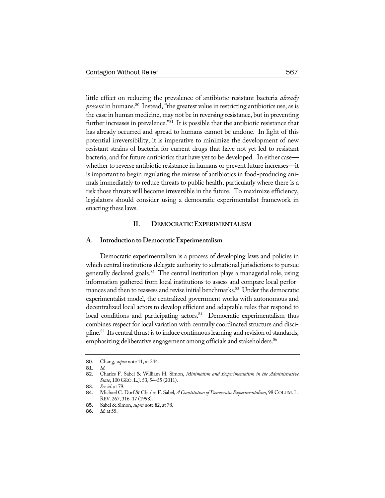little effect on reducing the prevalence of antibiotic-resistant bacteria *already present* in humans.<sup>80</sup> Instead, "the greatest value in restricting antibiotics use, as is the case in human medicine, may not be in reversing resistance, but in preventing further increases in prevalence."<sup>81</sup> It is possible that the antibiotic resistance that has already occurred and spread to humans cannot be undone. In light of this potential irreversibility, it is imperative to minimize the development of new resistant strains of bacteria for current drugs that have not yet led to resistant bacteria, and for future antibiotics that have yet to be developed. In either case whether to reverse antibiotic resistance in humans or prevent future increases—it is important to begin regulating the misuse of antibiotics in food-producing animals immediately to reduce threats to public health, particularly where there is a risk those threats will become irreversible in the future. To maximize efficiency, legislators should consider using a democratic experimentalist framework in enacting these laws.

## **II. DEMOCRATICEXPERIMENTALISM**

#### **A. Introduction toDemocraticExperimentalism**

Democratic experimentalism is a process of developing laws and policies in which central institutions delegate authority to subnational jurisdictions to pursue generally declared goals.<sup>82</sup> The central institution plays a managerial role, using information gathered from local institutions to assess and compare local performances and then to reassess and revise initial benchmarks.<sup>83</sup> Under the democratic experimentalist model, the centralized government works with autonomous and decentralized local actors to develop efficient and adaptable rules that respond to local conditions and participating actors.<sup>84</sup> Democratic experimentalism thus combines respect for local variation with centrally coordinated structure and discipline.<sup>85</sup> Its central thrust is to induce continuous learning and revision of standards, emphasizing deliberative engagement among officials and stakeholders.<sup>86</sup>

<sup>80</sup>. Chang, *supra* note 11, at 244.

<sup>81</sup>. *Id.*

<sup>82</sup>. Charles F. Sabel & William H. Simon, *Minimalism and Experimentalism in the Administrative State*, 100 GEO.L.J. 53, 54–55 (2011).

<sup>83</sup>. *See id.* at 79.

<sup>84.</sup> Michael C. Dorf & Charles F. Sabel, *A Constitution of Democratic Experimentalism*, 98 COLUM. L. REV. 267, 316–17 (1998).

<sup>85</sup>. Sabel & Simon, *supra* note 82, at 78.

<sup>86</sup>. *Id.* at 55.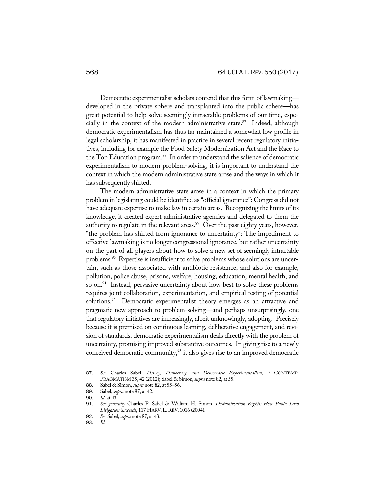Democratic experimentalist scholars contend that this form of lawmaking developed in the private sphere and transplanted into the public sphere—has great potential to help solve seemingly intractable problems of our time, especially in the context of the modern administrative state.<sup>87</sup> Indeed, although democratic experimentalism has thus far maintained a somewhat low profile in legal scholarship, it has manifested in practice in several recent regulatory initiatives, including for example the Food Safety Modernization Act and the Race to the Top Education program.<sup>88</sup> In order to understand the salience of democratic experimentalism to modern problem-solving, it is important to understand the context in which the modern administrative state arose and the ways in which it has subsequently shifted.

The modern administrative state arose in a context in which the primary problem in legislating could be identified as "official ignorance": Congress did not have adequate expertise to make law in certain areas. Recognizing the limits of its knowledge, it created expert administrative agencies and delegated to them the authority to regulate in the relevant areas.<sup>89</sup> Over the past eighty years, however, "the problem has shifted from ignorance to uncertainty": The impediment to effective lawmaking is no longer congressional ignorance, but rather uncertainty on the part of all players about how to solve a new set of seemingly intractable problems.<sup>90</sup> Expertise is insufficient to solve problems whose solutions are uncertain, such as those associated with antibiotic resistance, and also for example, pollution, police abuse, prisons, welfare, housing, education, mental health, and so on.<sup>91</sup> Instead, pervasive uncertainty about how best to solve these problems requires joint collaboration, experimentation, and empirical testing of potential solutions.<sup>92</sup> Democratic experimentalist theory emerges as an attractive and pragmatic new approach to problem-solving—and perhaps unsurprisingly, one that regulatory initiatives are increasingly, albeit unknowingly, adopting. Precisely because it is premised on continuous learning, deliberative engagement, and revision of standards, democratic experimentalism deals directly with the problem of uncertainty, promising improved substantive outcomes. In giving rise to a newly conceived democratic community, $93$  it also gives rise to an improved democratic

<sup>87</sup>. *See* Charles Sabel, *Dewey, Democracy, and Democratic Experimentalism*, 9 CONTEMP. PRAGMATISM 35, 42 (2012); Sabel & Simon, *supra* note 82, at 55.

<sup>88</sup>. Sabel & Simon, *supra* note 82, at 55–56.

<sup>89</sup>. Sabel, *supra* note 87, at 42.

<sup>90</sup>. *Id.* at 43.

<sup>91</sup>. *See generally* Charles F. Sabel & William H. Simon, *Destabilization Rights: How Public Law Litigation Succeeds*, 117 HARV.L.REV. 1016 (2004).

<sup>92</sup>. *See* Sabel, *supra* note 87, at 43.

<sup>93</sup>. *Id.*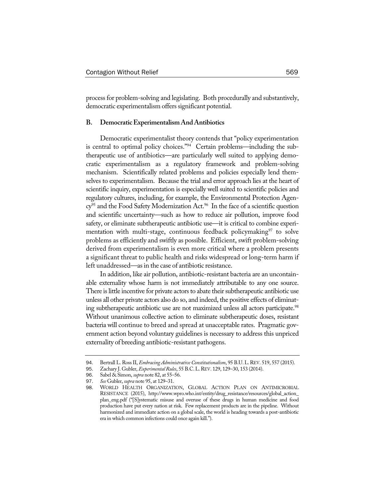process for problem-solving and legislating. Both procedurally and substantively, democratic experimentalism offers significant potential.

#### **B. DemocraticExperimentalism AndAntibiotics**

Democratic experimentalist theory contends that "policy experimentation is central to optimal policy choices."94 Certain problems—including the subtherapeutic use of antibiotics—are particularly well suited to applying democratic experimentalism as a regulatory framework and problem-solving mechanism. Scientifically related problems and policies especially lend themselves to experimentalism. Because the trial and error approach lies at the heart of scientific inquiry, experimentation is especially well suited to scientific policies and regulatory cultures, including, for example, the Environmental Protection Agen $cy^{95}$  and the Food Safety Modernization Act.<sup>96</sup> In the face of a scientific question and scientific uncertainty—such as how to reduce air pollution, improve food safety, or eliminate subtherapeutic antibiotic use—it is critical to combine experimentation with multi-stage, continuous feedback policymaking  $\frac{97}{7}$  to solve problems as efficiently and swiftly as possible. Efficient, swift problem-solving derived from experimentalism is even more critical where a problem presents a significant threat to public health and risks widespread or long-term harm if left unaddressed—as in the case of antibiotic resistance.

In addition, like air pollution, antibiotic-resistant bacteria are an uncontainable externality whose harm is not immediately attributable to any one source. There is little incentive for private actors to abate their subtherapeutic antibiotic use unless all other private actors also do so, and indeed, the positive effects of eliminating subtherapeutic antibiotic use are not maximized unless all actors participate.<sup>98</sup> Without unanimous collective action to eliminate subtherapeutic doses, resistant bacteria will continue to breed and spread at unacceptable rates. Pragmatic government action beyond voluntary guidelines is necessary to address this unpriced externality of breeding antibiotic-resistant pathogens.

<sup>94.</sup> Bertrall L. Ross II, *Embracing Administrative Constitutionalism*, 95 B.U. L. REV. 519, 557 (2015).<br>95. Zachary I. Gubler. *Experimental Rules*. 55 B.C. L. REV. 129. 129–30. 153 (2014).

<sup>95</sup>. Zachary J. Gubler, *ExperimentalRules*, 55 B.C.L.REV. 129, 129–30, 153 (2014).

<sup>96</sup>. Sabel & Simon, *supra* note 82, at 55–56.

<sup>97</sup>. *See* Gubler, *supra* note 95, at 129–31.

<sup>98</sup>. WORLD HEALTH ORGANIZATION, GLOBAL ACTION PLAN ON ANTIMICROBIAL RESISTANCE (2015), http://www.wpro.who.int/entity/drug\_resistance/resources/global\_action\_ plan\_eng.pdf ("[S]ystematic misuse and overuse of these drugs in human medicine and food production have put every nation at risk. Few replacement products are in the pipeline. Without harmonized and immediate action on a global scale, the world is heading towards a post-antibiotic era in which common infections could once again kill.").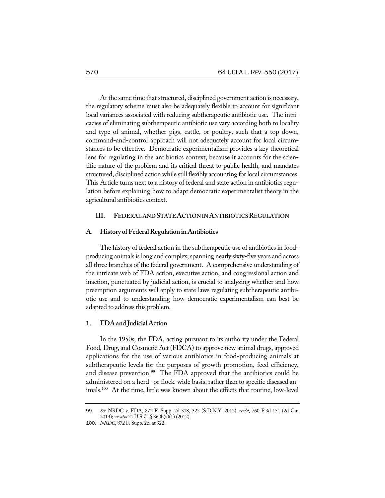At the same time that structured, disciplined government action is necessary, the regulatory scheme must also be adequately flexible to account for significant local variances associated with reducing subtherapeutic antibiotic use. The intricacies of eliminating subtherapeutic antibiotic use vary according both to locality and type of animal, whether pigs, cattle, or poultry, such that a top-down, command-and-control approach will not adequately account for local circumstances to be effective. Democratic experimentalism provides a key theoretical lens for regulating in the antibiotics context, because it accounts for the scientific nature of the problem and its critical threat to public health, and mandates structured, disciplined action while still flexibly accounting forlocal circumstances. This Article turns next to a history of federal and state action in antibiotics regulation before explaining how to adapt democratic experimentalist theory in the agricultural antibiotics context.

#### **III. FEDERALANDSTATEACTIONINANTIBIOTICSREGULATION**

## **A. History ofFederalRegulationinAntibiotics**

The history of federal action in the subtherapeutic use of antibiotics in foodproducing animals is long and complex, spanning nearly sixty-five years and across all three branches of the federal government. A comprehensive understanding of the intricate web of FDA action, executive action, and congressional action and inaction, punctuated by judicial action, is crucial to analyzing whether and how preemption arguments will apply to state laws regulating subtherapeutic antibiotic use and to understanding how democratic experimentalism can best be adapted to address this problem.

## **1. FDAand JudicialAction**

In the 1950s, the FDA, acting pursuant to its authority under the Federal Food, Drug, and Cosmetic Act (FDCA) to approve new animal drugs, approved applications for the use of various antibiotics in food-producing animals at subtherapeutic levels for the purposes of growth promotion, feed efficiency, and disease prevention.<sup>99</sup> The FDA approved that the antibiotics could be administered on a herd- or flock-wide basis, rather than to specific diseased animals.100 At the time, little was known about the effects that routine, low-level

<sup>99</sup>. *See* NRDC v. FDA, 872 F. Supp. 2d 318, 322 (S.D.N.Y. 2012), *rev'd*, 760 F.3d 151 (2d Cir. 2014); *see also* 21 U.S.C. § 360b(a)(1) (2012).

<sup>100</sup>. *NRDC*, 872 F. Supp. 2d. at 322.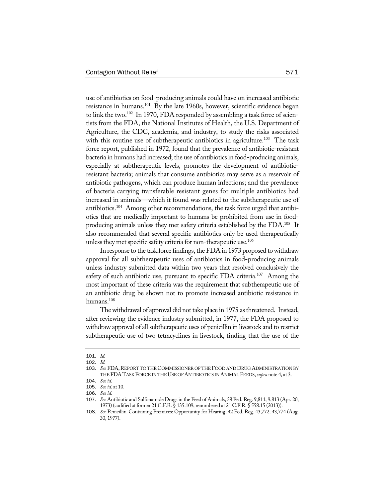use of antibiotics on food-producing animals could have on increased antibiotic resistance in humans.<sup>101</sup> By the late 1960s, however, scientific evidence began to link the two.<sup>102</sup> In 1970, FDA responded by assembling a task force of scientists from the FDA, the National Institutes of Health, the U.S. Department of Agriculture, the CDC, academia, and industry, to study the risks associated with this routine use of subtherapeutic antibiotics in agriculture.<sup>103</sup> The task force report, published in 1972, found that the prevalence of antibiotic-resistant bacteria in humans had increased; the use of antibiotics in food-producing animals, especially at subtherapeutic levels, promotes the development of antibioticresistant bacteria; animals that consume antibiotics may serve as a reservoir of antibiotic pathogens, which can produce human infections; and the prevalence of bacteria carrying transferable resistant genes for multiple antibiotics had increased in animals—which it found was related to the subtherapeutic use of antibiotics.104 Among other recommendations, the task force urged that antibiotics that are medically important to humans be prohibited from use in foodproducing animals unless they met safety criteria established by the FDA.<sup>105</sup> It also recommended that several specific antibiotics only be used therapeutically unless they met specific safety criteria for non-therapeutic use.<sup>106</sup>

In response to the task force findings, the FDA in 1973 proposed to withdraw approval for all subtherapeutic uses of antibiotics in food-producing animals unless industry submitted data within two years that resolved conclusively the safety of such antibiotic use, pursuant to specific FDA criteria.<sup>107</sup> Among the most important of these criteria was the requirement that subtherapeutic use of an antibiotic drug be shown not to promote increased antibiotic resistance in humans.<sup>108</sup>

The withdrawal of approval did not take place in 1975 as threatened. Instead, after reviewing the evidence industry submitted, in 1977, the FDA proposed to withdraw approval of all subtherapeutic uses of penicillin in livestock and to restrict subtherapeutic use of two tetracyclines in livestock, finding that the use of the

<sup>101</sup>. *Id.*

<sup>102</sup>. *Id.*

<sup>103</sup>. *See* FDA,REPORT TO THECOMMISSIONER OF THE FOOD AND DRUG ADMINISTRATION BY THEFDATASK FORCEINTHEUSE OFANTIBIOTICS INANIMALFEEDS, *supra* note 4, at 3.

<sup>104</sup>. *See id.*

<sup>105</sup>. *See id.* at 10.

<sup>106</sup>. *See id.*

<sup>107</sup>. *See* Antibiotic and Sulfonamide Drugs in the Feed of Animals, 38 Fed. Reg. 9,811, 9,813 (Apr. 20, 1973) (codified at former 21 C.F.R. § 135.109; renumbered at 21 C.F.R. § 558.15 (2013)).

<sup>108</sup>. *See* Penicillin-Containing Premixes: Opportunity for Hearing, 42 Fed. Reg. 43,772, 43,774 (Aug. 30, 1977).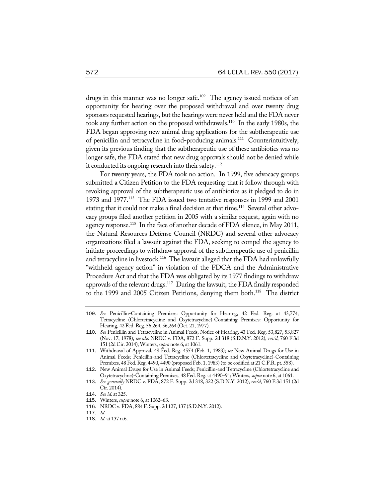drugs in this manner was no longer safe.<sup>109</sup> The agency issued notices of an opportunity for hearing over the proposed withdrawal and over twenty drug sponsors requested hearings, but the hearings were never held and the FDA never took any further action on the proposed withdrawals.110 In the early 1980s, the FDA began approving new animal drug applications for the subtherapeutic use of penicillin and tetracycline in food-producing animals.111 Counterintuitively, given its previous finding that the subtherapeutic use of these antibiotics was no longer safe, the FDA stated that new drug approvals should not be denied while it conducted its ongoing research into their safety.<sup>112</sup>

For twenty years, the FDA took no action. In 1999, five advocacy groups submitted a Citizen Petition to the FDA requesting that it follow through with revoking approval of the subtherapeutic use of antibiotics as it pledged to do in 1973 and 1977.113 The FDA issued two tentative responses in 1999 and 2001 stating that it could not make a final decision at that time.<sup>114</sup> Several other advocacy groups filed another petition in 2005 with a similar request, again with no agency response.<sup>115</sup> In the face of another decade of FDA silence, in May 2011, the Natural Resources Defense Council (NRDC) and several other advocacy organizations filed a lawsuit against the FDA, seeking to compel the agency to initiate proceedings to withdraw approval of the subtherapeutic use of penicillin and tetracycline in livestock.<sup>116</sup> The lawsuit alleged that the FDA had unlawfully "withheld agency action" in violation of the FDCA and the Administrative Procedure Act and that the FDA was obligated by its 1977 findings to withdraw approvals of the relevant drugs.<sup>117</sup> During the lawsuit, the FDA finally responded to the 1999 and 2005 Citizen Petitions, denying them both.<sup>118</sup> The district

<sup>109</sup>. *See* Penicillin-Containing Premixes: Opportunity for Hearing, 42 Fed. Reg. at 43,774; Tetracycline (Chlortetracycline and Oxytetracycline)-Containing Premixes: Opportunity for Hearing, 42 Fed. Reg. 56,264, 56,264 (Oct. 21, 1977).

<sup>110</sup>. *See* Penicillin and Tetracycline in Animal Feeds, Notice of Hearing, 43 Fed. Reg. 53,827, 53,827 (Nov. 17, 1978); *see also* NRDC v. FDA, 872 F. Supp. 2d 318 (S.D.N.Y. 2012), *rev'd*, 760 F.3d 151 (2d Cir. 2014); Winters, *supra* note 6, at 1061.

<sup>111</sup>. Withdrawal of Approval, 48 Fed. Reg. 4554 (Feb. 1, 1983); *see* New Animal Drugs for Use in Animal Feeds; Penicillin-and Tetracycline (Chlortetracycline and Oxytetracycline)-Containing Premixes, 48 Fed. Reg. 4490, 4490 (proposed Feb. 1, 1983) (to be codified at 21 C.F.R. pt. 558).

<sup>112</sup>. New Animal Drugs for Use in Animal Feeds; Penicillin-and Tetracycline (Chlortetracycline and Oxytetracycline)-Containing Premixes, 48 Fed. Reg. at 4490–91; Winters, *supra* note 6, at 1061.

<sup>113</sup>. *See generally* NRDC v. FDA, 872 F. Supp. 2d 318, 322 (S.D.N.Y. 2012), *rev'd*, 760 F.3d 151 (2d Cir. 2014).

<sup>114</sup>. *See id.* at 325.

<sup>115</sup>. Winters, *supra* note 6, at 1062–63.

<sup>116</sup>. NRDC v. FDA, 884 F. Supp. 2d 127, 137 (S.D.N.Y. 2012).

<sup>117</sup>. *Id.*

<sup>118</sup>. *Id.* at 137 n.6.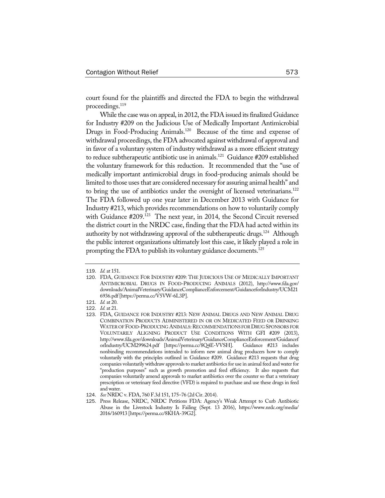court found for the plaintiffs and directed the FDA to begin the withdrawal proceedings.<sup>119</sup>

While the case was on appeal, in 2012, the FDA issued its finalized Guidance for Industry #209 on the Judicious Use of Medically Important Antimicrobial Drugs in Food-Producing Animals.<sup>120</sup> Because of the time and expense of withdrawal proceedings, the FDA advocated against withdrawal of approval and in favor of a voluntary system of industry withdrawal as a more efficient strategy to reduce subtherapeutic antibiotic use in animals.121 Guidance #209 established the voluntary framework for this reduction. It recommended that the "use of medically important antimicrobial drugs in food-producing animals should be limited to those usesthat are considered necessary for assuring animal health" and to bring the use of antibiotics under the oversight of licensed veterinarians.<sup>122</sup> The FDA followed up one year later in December 2013 with Guidance for Industry #213, which provides recommendations on how to voluntarily comply with Guidance #209.<sup>123</sup> The next year, in 2014, the Second Circuit reversed the district court in the NRDC case, finding that the FDA had acted within its authority by not withdrawing approval of the subtherapeutic drugs.<sup>124</sup> Although the public interest organizations ultimately lost this case, it likely played a role in prompting the FDA to publish its voluntary guidance documents.<sup>125</sup>

<sup>119</sup>. *Id.* at 151.

<sup>120</sup>. FDA, GUIDANCE FOR INDUSTRY #209: THE JUDICIOUS USE OF MEDICALLY IMPORTANT ANTIMICROBIAL DRUGS IN FOOD-PRODUCING ANIMALS (2012), http://www.fda.gov/ downloads/AnimalVeterinary/GuidanceComplianceEnforcement/GuidanceforIndustry/UCM21 6936.pdf[https://perma.cc/V5VW-6L3P].

<sup>121</sup>. *Id.* at 20.

<sup>122</sup>. *Id.* at 21.

<sup>123</sup>. FDA, GUIDANCE FOR INDUSTRY #213: NEW ANIMAL DRUGS AND NEW ANIMAL DRUG COMBINATION PRODUCTS ADMINISTERED IN OR ON MEDICATED FEED OR DRINKING WATER OF FOOD-PRODUCING ANIMALS: RECOMMENDATIONS FOR DRUG SPONSORS FOR VOLUNTARILY ALIGNING PRODUCT USE CONDITIONS WITH GFI #209 (2013), http://www.fda.gov/downloads/AnimalVeterinary/GuidanceComplianceEnforcement/Guidancef orIndustry/UCM299624.pdf [https://perma.cc/8Q4E-VVSH]. Guidance #213 includes nonbinding recommendations intended to inform new animal drug producers how to comply voluntarily with the principles outlined in Guidance #209. Guidance #213 requests that drug companies voluntarily withdraw approvals to market antibiotics for use in animal feed and water for "production purposes" such as growth promotion and feed efficiency. It also requests that companies voluntarily amend approvals to market antibiotics over the counter so that a veterinary prescription or veterinary feed directive (VFD) is required to purchase and use these drugs in feed and water.

<sup>124</sup>. *See* NRDC v. FDA, 760 F.3d 151, 175–76 (2d Cir. 2014).

<sup>125</sup>. Press Release, NRDC, NRDC Petitions FDA: Agency's Weak Attempt to Curb Antibiotic Abuse in the Livestock Industry Is Failing (Sept. 13 2016), https://www.nrdc.org/media/ 2016/160913 [https://perma.cc/8KHA-39G2].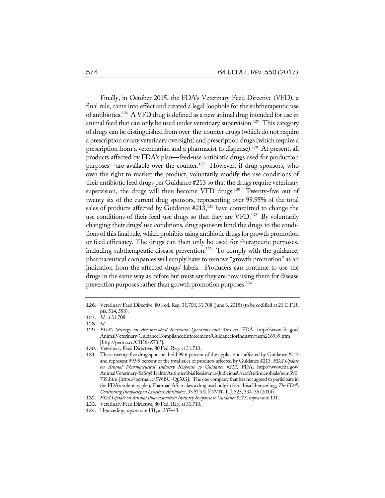Finally, in October 2015, the FDA's Veterinary Feed Directive (VFD), a final rule, came into effect and created a legal loophole for the subtherapeutic use of antibiotics.126 A VFD drug is defined as a new animal drug intended for use in animal feed that can only be used under veterinary supervision.<sup>127</sup> This category of drugs can be distinguished from over-the-counter drugs (which do not require a prescription or any veterinary oversight) and prescription drugs (which require a prescription from a veterinarian and a pharmacist to dispense).<sup>128</sup> At present, all products affected by FDA's plan—feed-use antibiotic drugs used for production purposes—are available over-the-counter.<sup>129</sup> However, if drug sponsors, who own the right to market the product, voluntarily modify the use conditions of their antibiotic feed drugs per Guidance #213 so that the drugs require veterinary supervision, the drugs will then become VFD drugs.<sup>130</sup> Twenty-five out of twenty-six of the current drug sponsors, representing over 99.95% of the total sales of products affected by Guidance #213,<sup>131</sup> have committed to change the use conditions of their feed-use drugs so that they are VFD.<sup>132</sup> By voluntarily changing their drugs' use conditions, drug sponsors bind the drugs to the conditions of this final rule, which prohibits using antibiotic drugs for growth promotion or feed efficiency. The drugs can then only be used for therapeutic purposes, including subtherapeutic disease prevention.<sup>133</sup> To comply with the guidance, pharmaceutical companies will simply have to remove "growth promotion" as an indication from the affected drugs' labels. Producers can continue to use the drugs in the same way as before but must say they are now using them for disease prevention purposes rather than growth promotion purposes.<sup>134</sup>

<sup>126</sup>. Veterinary Feed Directive, 80 Fed. Reg. 31,708, 31,708 (June 3, 2015) (to be codified at 21 C.F.R. pts. 514, 558).

<sup>127</sup>. *Id.* at 31,708.

<sup>128</sup>. *Id.*

<sup>129</sup>. *FDA's Strategy on Antimicrobial Resistance-Questions and Answers*, FDA, http://www.fda.gov/ AnimalVeterinary/GuidanceComplianceEnforcement/GuidanceforIndustry/ucm216939.htm [http://perma.cc/CB56-Z73P].

<sup>130</sup>. Veterinary Feed Directive, 80 Fed. Reg. at 31,710.

<sup>131</sup>. These twenty-five drug sponsors hold 99.6 percent of the applications affected by Guidance #213 and represent 99.95 percent of the total sales of products affected by Guidance #213. *FDA Update on Animal Pharmaceutical Industry Response to Guidance #213*, FDA, http://www.fda.gov/ AnimalVeterinary/SafetyHealth/AntimicrobialResistance/JudiciousUseofAntimicrobials/ucm390 738.htm [https://perma.cc/5WBC-Q6XG]. The one company that has not agreed to participate in the FDA's voluntary plan, Pharmaq AS, makes a drug used only in fish. Lisa Heinzerling, The FDA's *Continuing Incapacity onLivestockAntibiotics*, 33STAN.ENVTL.L.J. 325, 334–35 (2014).

<sup>132</sup>. *FDA Updateon Animal PharmaceuticalIndustryResponseto Guidance #213*, *supra* note 131.

<sup>133</sup>. Veterinary Feed Directive, 80 Fed. Reg. at 31,710.

<sup>134</sup>. Heinzerling, *supra* note 131, at 337–43.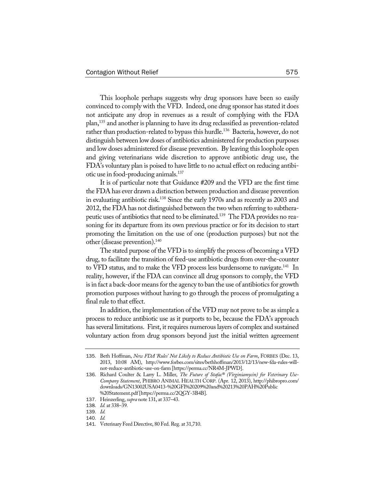This loophole perhaps suggests why drug sponsors have been so easily convinced to comply with the VFD. Indeed, one drug sponsor has stated it does not anticipate any drop in revenues as a result of complying with the FDA plan,135 and another is planning to have its drug reclassified as prevention-related rather than production-related to bypass this hurdle.<sup>136</sup> Bacteria, however, do not distinguish between low doses of antibiotics administered for production purposes and low doses administered for disease prevention. By leaving this loophole open and giving veterinarians wide discretion to approve antibiotic drug use, the FDA's voluntary plan is poised to have little to no actual effect on reducing antibiotic use in food-producing animals.137

It is of particular note that Guidance #209 and the VFD are the first time the FDA has ever drawn a distinction between production and disease prevention in evaluating antibiotic risk.<sup>138</sup> Since the early 1970s and as recently as 2003 and 2012, the FDA has not distinguished between the two when referring to subtherapeutic uses of antibiotics that need to be eliminated.139 The FDA provides no reasoning for its departure from its own previous practice or for its decision to start promoting the limitation on the use of one (production purposes) but not the other (disease prevention).<sup>140</sup>

The stated purpose of the VFD is to simplify the process of becoming a VFD drug, to facilitate the transition of feed-use antibiotic drugs from over-the-counter to VFD status, and to make the VFD process less burdensome to navigate.<sup>141</sup> In reality, however, if the FDA can convince all drug sponsors to comply, the VFD is in fact a back-door means for the agency to ban the use of antibiotics for growth promotion purposes without having to go through the process of promulgating a final rule to that effect.

In addition, the implementation of the VFD may not prove to be as simple a process to reduce antibiotic use as it purports to be, because the FDA's approach has several limitations. First, it requires numerous layers of complex and sustained voluntary action from drug sponsors beyond just the initial written agreement

<sup>135</sup>. Beth Hoffman, *New FDA 'Rules' Not Likely to Reduce Antibiotic Use on Farm*, FORBES (Dec. 13, 2013, 10:08 AM), http://www.forbes.com/sites/bethhoffman/2013/12/13/new-fda-rules-willnot-reduce-antibiotic-use-on-farm [https://perma.cc/NR4M-JPWD].

<sup>136</sup>. Richard Coulter & Larry L. Miller, *The Future of Stafac® (Virginiamycin) for Veterinary Use-Company Statement*, PHIBRO ANIMAL HEALTH CORP. (Apr. 12, 2013), http://phibropro.com/ downloads/GN13002USA0413-%20GFI%20209%20and%20213%20PAH%20Public %20Statement.pdf[https://perma.cc/2QGY-3B4B].

<sup>137</sup>. Heinzerling, *supra* note 131, at 337–43.

<sup>138</sup>. *Id.* at 338–39.

<sup>139</sup>. *Id.*

<sup>140</sup>. *Id.*

<sup>141</sup>. Veterinary Feed Directive, 80 Fed. Reg. at 31,710.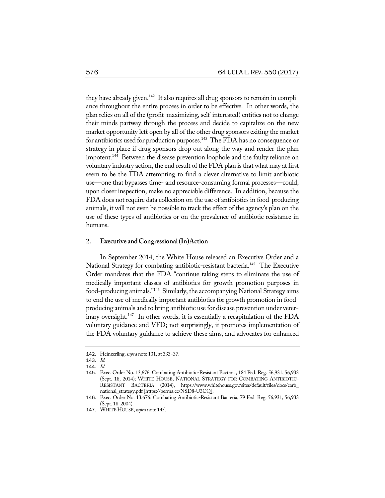they have already given.<sup>142</sup> It also requires all drug sponsors to remain in compliance throughout the entire process in order to be effective. In other words, the plan relies on all of the (profit-maximizing, self-interested) entities not to change their minds partway through the process and decide to capitalize on the new market opportunity left open by all of the other drug sponsors exiting the market for antibiotics used for production purposes.<sup>143</sup> The FDA has no consequence or strategy in place if drug sponsors drop out along the way and render the plan impotent.<sup>144</sup> Between the disease prevention loophole and the faulty reliance on voluntary industry action, the end result of the FDA plan is that what may at first seem to be the FDA attempting to find a clever alternative to limit antibiotic use—one that bypasses time- and resource-consuming formal processes—could, upon closer inspection, make no appreciable difference. In addition, because the FDA does not require data collection on the use of antibiotics in food-producing animals, it will not even be possible to track the effect of the agency's plan on the use of these types of antibiotics or on the prevalence of antibiotic resistance in humans.

#### **2. Executive andCongressional(In)Action**

In September 2014, the White House released an Executive Order and a National Strategy for combating antibiotic-resistant bacteria.<sup>145</sup> The Executive Order mandates that the FDA "continue taking steps to eliminate the use of medically important classes of antibiotics for growth promotion purposes in food-producing animals."146 Similarly, the accompanying National Strategy aims to end the use of medically important antibiotics for growth promotion in foodproducing animals and to bring antibiotic use for disease prevention under veterinary oversight.<sup>147</sup> In other words, it is essentially a recapitulation of the FDA voluntary guidance and VFD; not surprisingly, it promotes implementation of the FDA voluntary guidance to achieve these aims, and advocates for enhanced

<sup>142</sup>. Heinzerling, *supra* note 131, at 333–37.

<sup>143</sup>. *Id.*

<sup>144</sup>. *Id.*

<sup>145</sup>. Exec. Order No. 13,676: Combating Antibiotic-Resistant Bacteria, 184 Fed. Reg. 56,931, 56,933 (Sept. 18, 2014); WHITE HOUSE, NATIONAL STRATEGY FOR COMBATING ANTIBIOTIC-RESISTANT BACTERIA (2014), https://www.whitehouse.gov/sites/default/files/docs/carb\_ national\_strategy.pdf[https://perma.cc/NSD8-U3CQ].

<sup>146</sup>. Exec. Order No. 13,676: Combating Antibiotic-Resistant Bacteria, 79 Fed. Reg. 56,931, 56,933 (Sept. 18, 2004).

<sup>147.</sup> WHITE HOUSE, *supra* note 145.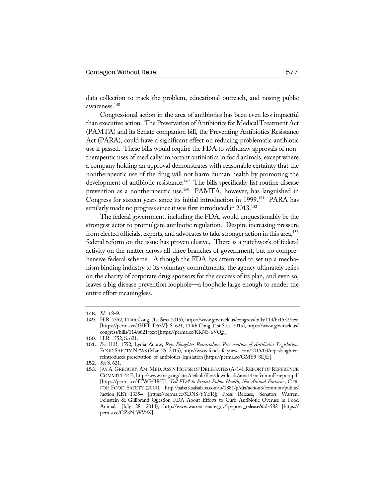data collection to track the problem, educational outreach, and raising public awareness.148

Congressional action in the area of antibiotics has been even less impactful than executive action. The Preservation of Antibiotics for Medical Treatment Act (PAMTA) and its Senate companion bill, the Preventing Antibiotics Resistance Act (PARA), could have a significant effect on reducing problematic antibiotic use if passed. These bills would require the FDA to withdraw approvals of nontherapeutic uses of medically important antibiotics in food animals, except where a company holding an approval demonstrates with reasonable certainty that the nontherapeutic use of the drug will not harm human health by promoting the development of antibiotic resistance.<sup>149</sup> The bills specifically list routine disease prevention as a nontherapeutic use.<sup>150</sup> PAMTA, however, has languished in Congress for sixteen years since its initial introduction in 1999.<sup>151</sup> PARA has similarly made no progress since it was first introduced in 2013.<sup>152</sup>

The federal government, including the FDA, would unquestionably be the strongest actor to promulgate antibiotic regulation. Despite increasing pressure from elected officials, experts, and advocates to take stronger action in this area,<sup>153</sup> federal reform on the issue has proven elusive. There is a patchwork of federal activity on the matter across all three branches of government, but no comprehensive federal scheme. Although the FDA has attempted to set up a mechanism binding industry to its voluntary commitments, the agency ultimately relies on the charity of corporate drug sponsors for the success of its plan, and even so, leaves a big disease prevention loophole—a loophole large enough to render the entire effort meaningless.

<sup>148</sup>. *Id.* at 8–9.

<sup>149</sup>. H.R. 1552, 114th Cong. (1st Sess. 2015), https://www.govtrack.us/congress/bills/114/hr1552/text [https://perma.cc/3HFT-D53V]; S. 621, 114th Cong. (1st Sess. 2015), https://www.govtrack.us/ congress/bills/114/s621/text [https://perma.cc/KKN3-6VQE].

<sup>150</sup>. H.R. 1552; S. 621.

<sup>151</sup>. *See* H.R. 1552; Lydia Zuraw, *Rep. Slaughter Reintroduces Preservation of Antibiotics Legislation*, FOOD SAFETY NEWS (Mar. 25, 2015), http://www.foodsafetynews.com/2015/03/rep-slaughterreintroduces-preservation-of-antibiotics-legislation [https://perma.cc/GMY9-8EJE].

<sup>152</sup>. *See* S. 621.

<sup>153.</sup> JAY A. GREGORY, AM. MED. ASS'N HOUSE OF DELEGATES (A-14), REPORT OF REFERENCE COMMITTEE E, http://www.mag.org/sites/default/files/downloads/ama14-refcommE-report.pdf [https://perma.cc/4TW5-BRFJ]; *Tell FDA to Protect Public Health, Not Animal Factories*, CTR. FOR FOOD SAFETY (2014), http://salsa3.salsalabs.com/o/1881/p/dia/action3/common/public/ ?action\_KEY=13354 [https://perma.cc/5DNS-YYER]; Press Release, Senators Warren, Feinstein & Gillibrand Question FDA About Efforts to Curb Antibiotic Overuse in Food Animals (July 28, 2014), http://www.warren.senate.gov/?p=press\_release&id=582 [https:// perma.cc/CZ3N-WV9X].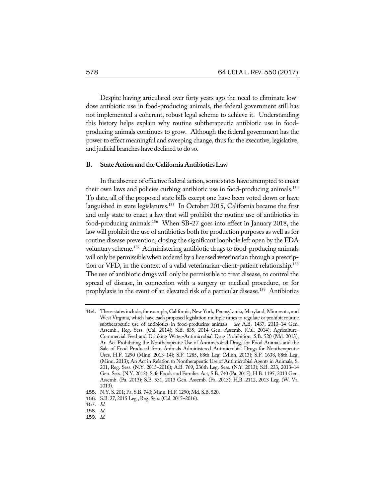Despite having articulated over forty years ago the need to eliminate lowdose antibiotic use in food-producing animals, the federal government still has not implemented a coherent, robust legal scheme to achieve it. Understanding this history helps explain why routine subtherapeutic antibiotic use in foodproducing animals continues to grow. Although the federal government has the power to effect meaningful and sweeping change, thus far the executive, legislative, and judicial branches have declined to do so.

## **B. StateActionand theCaliforniaAntibioticsLaw**

In the absence of effective federal action, some states have attempted to enact their own laws and policies curbing antibiotic use in food-producing animals.154 To date, all of the proposed state bills except one have been voted down or have languished in state legislatures.<sup>155</sup> In October 2015, California became the first and only state to enact a law that will prohibit the routine use of antibiotics in food-producing animals.156 When SB-27 goes into effect in January 2018, the law will prohibit the use of antibiotics both for production purposes as well as for routine disease prevention, closing the significant loophole left open by the FDA voluntary scheme.157 Administering antibiotic drugs to food-producing animals will only be permissible when ordered by a licensed veterinarian through a prescription or VFD, in the context of a valid veterinarian-client-patient relationship.<sup>158</sup> The use of antibiotic drugs will only be permissible to treat disease, to control the spread of disease, in connection with a surgery or medical procedure, or for prophylaxis in the event of an elevated risk of a particular disease.159 Antibiotics

<sup>154</sup>. These states include, for example, California, New York, Pennsylvania, Maryland, Minnesota, and West Virginia, which have each proposed legislation multiple times to regulate or prohibit routine subtherapeutic use of antibiotics in food-producing animals. *See* A.B. 1437, 2013–14 Gen. Assemb., Reg. Sess. (Cal. 2014); S.B. 835, 2014 Gen. Assemb. (Cal. 2014); Agriculture-Commercial Feed and Drinking Water-Antimicrobial Drug Prohibition, S.B. 520 (Md. 2013); An Act Prohibiting the Nontherapeutic Use of Antimicrobial Drugs for Food Animals and the Sale of Food Produced from Animals Administered Antimicrobial Drugs for Nontherapeutic Uses, H.F. 1290 (Minn. 2013–14); S.F. 1285, 88th Leg. (Minn. 2013); S.F. 1638, 88th Leg. (Minn. 2013); An Act in Relation to Nontherapeutic Use of Antimicrobial Agents in Animals, S. 201, Reg. Sess. (N.Y. 2015–2016); A.B. 769, 236th Leg. Sess. (N.Y. 2013); S.B. 233, 2013–14 Gen. Sess. (N.Y. 2013); Safe Foods and Families Act, S.B. 740 (Pa. 2015); H.B. 1195, 2013 Gen. Assemb. (Pa. 2013); S.B. 531, 2013 Gen. Assemb. (Pa. 2013); H.B. 2112, 2013 Leg. (W. Va. 2013).

<sup>155</sup>. N.Y. S. 201; Pa. S.B. 740; Minn. H.F. 1290; Md. S.B. 520.

<sup>156</sup>. S.B. 27, 2015 Leg., Reg. Sess. (Cal. 2015–2016).

<sup>157</sup>. *Id.*

<sup>158</sup>. *Id.*

<sup>159</sup>. *Id.*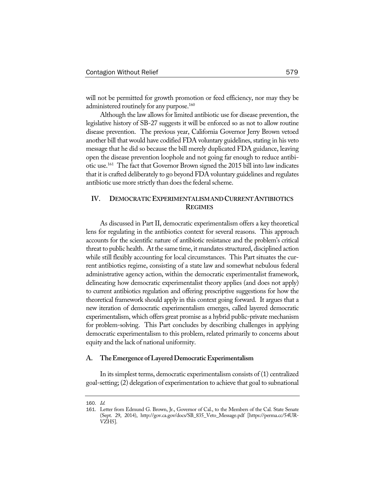will not be permitted for growth promotion or feed efficiency, nor may they be administered routinely for any purpose.<sup>160</sup>

Although the law allows for limited antibiotic use for disease prevention, the legislative history of SB-27 suggests it will be enforced so as not to allow routine disease prevention. The previous year, California Governor Jerry Brown vetoed another bill that would have codified FDA voluntary guidelines, stating in his veto message that he did so because the bill merely duplicated FDA guidance, leaving open the disease prevention loophole and not going far enough to reduce antibiotic use.161 The fact that Governor Brown signed the 2015 bill into law indicates that it is crafted deliberately to go beyond FDA voluntary guidelines and regulates antibiotic use more strictly than does the federal scheme.

# **IV. DEMOCRATICEXPERIMENTALISMANDCURRENTANTIBIOTICS REGIMES**

As discussed in Part II, democratic experimentalism offers a key theoretical lens for regulating in the antibiotics context for several reasons. This approach accounts for the scientific nature of antibiotic resistance and the problem's critical threat to public health. At the same time, it mandates structured, disciplined action while still flexibly accounting for local circumstances. This Part situates the current antibiotics regime, consisting of a state law and somewhat nebulous federal administrative agency action, within the democratic experimentalist framework, delineating how democratic experimentalist theory applies (and does not apply) to current antibiotics regulation and offering prescriptive suggestions for how the theoretical framework should apply in this context going forward. It argues that a new iteration of democratic experimentalism emerges, called layered democratic experimentalism, which offers great promise as a hybrid public-private mechanism for problem-solving. This Part concludes by describing challenges in applying democratic experimentalism to this problem, related primarily to concerns about equity and the lack of national uniformity.

#### **A. TheEmergence ofLayeredDemocraticExperimentalism**

In its simplest terms, democratic experimentalism consists of (1) centralized goal-setting; (2) delegation of experimentation to achieve that goal to subnational

<sup>160</sup>. *Id.*

<sup>161</sup>. Letter from Edmund G. Brown, Jr., Governor of Cal., to the Members of the Cal. State Senate (Sept. 29, 2014), http://gov.ca.gov/docs/SB\_835\_Veto\_Message.pdf [https://perma.cc/54UR-VZH5].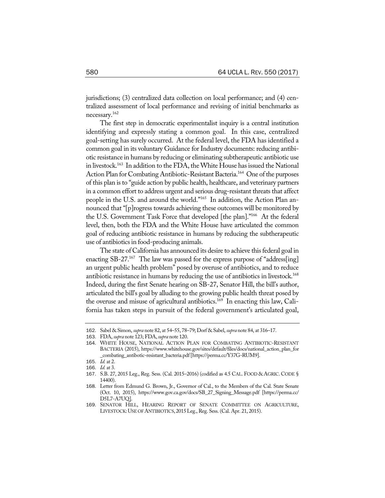jurisdictions; (3) centralized data collection on local performance; and (4) centralized assessment of local performance and revising of initial benchmarks as necessary.162

The first step in democratic experimentalist inquiry is a central institution identifying and expressly stating a common goal. In this case, centralized goal-setting has surely occurred. At the federal level, the FDA has identified a common goal in its voluntary Guidance for Industry documents: reducing antibiotic resistance in humans by reducing or eliminating subtherapeutic antibiotic use in livestock.<sup>163</sup> In addition to the FDA, the White House has issued the National Action Plan for Combating Antibiotic-Resistant Bacteria.<sup>164</sup> One of the purposes of this plan is to "guide action by public health, healthcare, and veterinary partners in a common effort to address urgent and serious drug-resistant threats that affect people in the U.S. and around the world."165 In addition, the Action Plan announced that "[p]rogress towards achieving these outcomes will be monitored by the U.S. Government Task Force that developed [the plan]."166 At the federal level, then, both the FDA and the White House have articulated the common goal of reducing antibiotic resistance in humans by reducing the subtherapeutic use of antibiotics in food-producing animals.

The state of California has announced its desire to achieve this federal goal in enacting SB-27.<sup>167</sup> The law was passed for the express purpose of "address[ing] an urgent public health problem" posed by overuse of antibiotics, and to reduce antibiotic resistance in humans by reducing the use of antibiotics in livestock.<sup>168</sup> Indeed, during the first Senate hearing on SB-27, Senator Hill, the bill's author, articulated the bill's goal by alluding to the growing public health threat posed by the overuse and misuse of agricultural antibiotics.<sup>169</sup> In enacting this law, California has taken steps in pursuit of the federal government's articulated goal,

<sup>162</sup>. Sabel & Simon, *supra* note 82, at 54–55, 78–79; Dorf & Sabel, *supra* note 84, at 316–17.

<sup>163</sup>. FDA, *supra* note 123; FDA,*supra* note 120.

<sup>164</sup>. WHITE HOUSE, NATIONAL ACTION PLAN FOR COMBATING ANTIBIOTIC-RESISTANT BACTERIA (2015), https://www.whitehouse.gov/sites/default/files/docs/national\_action\_plan\_for \_combating\_antibotic-resistant\_bacteria.pdf [https://perma.cc/Y37G-RUM9].

<sup>165</sup>. *Id.* at 2.

<sup>166</sup>. *Id.* at 3.

<sup>167</sup>. S.B. 27, 2015 Leg., Reg. Sess. (Cal. 2015–2016) (codified as 4.5 CAL. FOOD & AGRIC. CODE § 14400).

<sup>168</sup>. Letter from Edmund G. Brown, Jr., Governor of Cal., to the Members of the Cal. State Senate (Oct. 10, 2015), https://www.gov.ca.gov/docs/SB\_27\_Signing\_Message.pdf [https://perma.cc/ D5L7-A7UQ].

<sup>169</sup>. SENATOR HILL, HEARING REPORT OF SENATE COMMITTEE ON AGRICULTURE, LIVESTOCK: USE OF ANTIBIOTICS, 2015 Leg., Reg. Sess. (Cal. Apr. 21, 2015).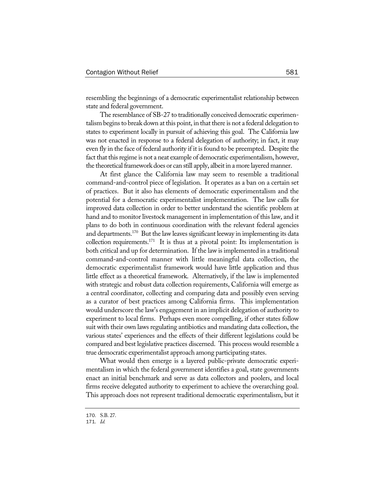resembling the beginnings of a democratic experimentalist relationship between state and federal government.

The resemblance of SB-27 to traditionally conceived democratic experimentalism begins to break down at this point, in that there is not a federal delegation to states to experiment locally in pursuit of achieving this goal. The California law was not enacted in response to a federal delegation of authority; in fact, it may even fly in the face of federal authority if it is found to be preempted. Despite the fact that this regime is not a neat example of democratic experimentalism, however, the theoretical framework does or can still apply, albeit in a more layered manner.

At first glance the California law may seem to resemble a traditional command-and-control piece of legislation. It operates as a ban on a certain set of practices. But it also has elements of democratic experimentalism and the potential for a democratic experimentalist implementation. The law calls for improved data collection in order to better understand the scientific problem at hand and to monitor livestock management in implementation of this law, and it plans to do both in continuous coordination with the relevant federal agencies and departments.<sup>170</sup> But the law leaves significant leeway in implementing its data collection requirements.<sup>171</sup> It is thus at a pivotal point: Its implementation is both critical and up for determination. If the law is implemented in a traditional command-and-control manner with little meaningful data collection, the democratic experimentalist framework would have little application and thus little effect as a theoretical framework. Alternatively, if the law is implemented with strategic and robust data collection requirements, California will emerge as a central coordinator, collecting and comparing data and possibly even serving as a curator of best practices among California firms. This implementation would underscore the law's engagement in an implicit delegation of authority to experiment to local firms. Perhaps even more compelling, if other states follow suit with their own laws regulating antibiotics and mandating data collection, the various states' experiences and the effects of their different legislations could be compared and best legislative practices discerned. This process would resemble a true democratic experimentalist approach among participating states.

What would then emerge is a layered public-private democratic experimentalism in which the federal government identifies a goal, state governments enact an initial benchmark and serve as data collectors and poolers, and local firms receive delegated authority to experiment to achieve the overarching goal. This approach does not represent traditional democratic experimentalism, but it

<sup>170</sup>. S.B. 27.

<sup>171</sup>. *Id.*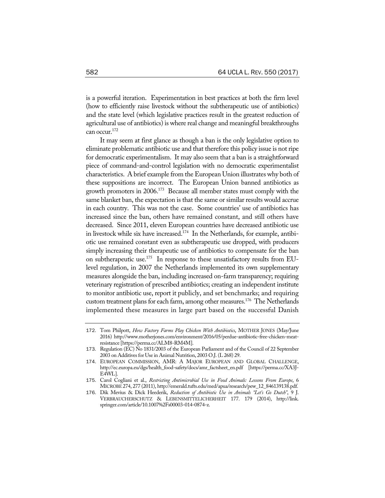is a powerful iteration. Experimentation in best practices at both the firm level (how to efficiently raise livestock without the subtherapeutic use of antibiotics) and the state level (which legislative practices result in the greatest reduction of agricultural use of antibiotics) is where real change and meaningful breakthroughs can occur.172

It may seem at first glance as though a ban is the only legislative option to eliminate problematic antibiotic use and that therefore this policy issue is not ripe for democratic experimentalism. It may also seem that a ban is a straightforward piece of command-and-control legislation with no democratic experimentalist characteristics. A brief example from the European Union illustrates why both of these suppositions are incorrect. The European Union banned antibiotics as growth promoters in 2006.<sup>173</sup> Because all member states must comply with the same blanket ban, the expectation is that the same or similar results would accrue in each country. This was not the case. Some countries' use of antibiotics has increased since the ban, others have remained constant, and still others have decreased. Since 2011, eleven European countries have decreased antibiotic use in livestock while six have increased.<sup>174</sup> In the Netherlands, for example, antibiotic use remained constant even as subtherapeutic use dropped, with producers simply increasing their therapeutic use of antibiotics to compensate for the ban on subtherapeutic use.<sup>175</sup> In response to these unsatisfactory results from EUlevel regulation, in 2007 the Netherlands implemented its own supplementary measures alongside the ban, including increased on-farm transparency; requiring veterinary registration of prescribed antibiotics; creating an independent institute to monitor antibiotic use, report it publicly, and set benchmarks; and requiring custom treatment plans for each farm, among other measures.<sup>176</sup> The Netherlands implemented these measures in large part based on the successful Danish

<sup>172</sup>. Tom Philpott, *How Factory Farms Play Chicken With Antibiotics*, MOTHER JONES (May/June 2016) http://www.motherjones.com/environment/2016/05/perdue-antibiotic-free-chicken-meatresistance [https://perma.cc/ALM8-RM4M].

<sup>173</sup>. Regulation (EC) No 1831/2003 of the European Parliament and of the Council of 22 September 2003 on Additives for Use in Animal Nutrition, 2003 O.J. (L 268) 29.

<sup>174</sup>. EUROPEAN COMMISSION, AMR: A MAJOR EUROPEAN AND GLOBAL CHALLENGE, http://ec.europa.eu/dgs/health\_food-safety/docs/amr\_factsheet\_en.pdf [https://perma.cc/XA3J-E4WL].

<sup>175</sup>. Carol Cogliani et al., *Restricting Antimicrobial Use in Food Animals: Lessons From Europe*, 6 MICROBE274, 277 (2011), http://emerald.tufts.edu/med/apua/research/pew\_12\_846139138.pdf.

<sup>176</sup>. Dik Mevius & Dick Heederik, *Reduction of Antibiotic Use in Animals "Let's Go Dutch"*, 9 J. VERBRAUCHERSCHUTZ & LEBENSMITTELICHERHEIT 177. 179 (2014), http://link. springer.com/article/10.1007%2Fs00003-014-0874-z.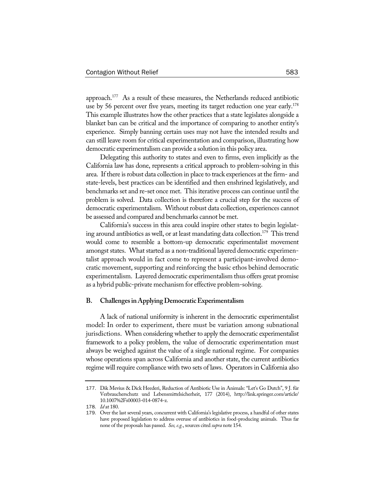approach.177 As a result of these measures, the Netherlands reduced antibiotic use by 56 percent over five years, meeting its target reduction one year early.<sup>178</sup> This example illustrates how the other practices that a state legislates alongside a blanket ban can be critical and the importance of comparing to another entity's experience. Simply banning certain uses may not have the intended results and can still leave room for critical experimentation and comparison, illustrating how democratic experimentalism can provide a solution in this policy area.

Delegating this authority to states and even to firms, even implicitly as the California law has done, represents a critical approach to problem-solving in this area. If there is robust data collection in place to track experiences at the firm- and state-levels, best practices can be identified and then enshrined legislatively, and benchmarks set and re-set once met. This iterative process can continue until the problem is solved. Data collection is therefore a crucial step for the success of democratic experimentalism. Without robust data collection, experiences cannot be assessed and compared and benchmarks cannot be met.

California's success in this area could inspire other states to begin legislating around antibiotics as well, or at least mandating data collection.<sup>179</sup> This trend would come to resemble a bottom-up democratic experimentalist movement amongst states. What started as a non-traditional layered democratic experimentalist approach would in fact come to represent a participant-involved democratic movement, supporting and reinforcing the basic ethos behind democratic experimentalism. Layered democratic experimentalism thus offers great promise as a hybrid public-private mechanism for effective problem-solving.

#### **B. ChallengesinApplyingDemocraticExperimentalism**

A lack of national uniformity is inherent in the democratic experimentalist model: In order to experiment, there must be variation among subnational jurisdictions. When considering whether to apply the democratic experimentalist framework to a policy problem, the value of democratic experimentation must always be weighed against the value of a single national regime. For companies whose operations span across California and another state, the current antibiotics regime will require compliance with two sets of laws. Operators in California also

<sup>177</sup>. Dik Mevius & Dick Heederi, Reduction of Antibiotic Use in Animals: "Let's Go Dutch", 9 J. für Verbraucherschutz und Lebensmittelsicherheit, 177 (2014), http://link.springer.com/article/ 10.1007%2Fs00003-014-0874-z.

<sup>178</sup>. *Id* at 180.

<sup>179</sup>. Over the last several years, concurrent with California's legislative process, a handful of other states have proposed legislation to address overuse of antibiotics in food-producing animals. Thus far none of the proposals has passed. *See, e.g.*, sources cited *supra* note 154.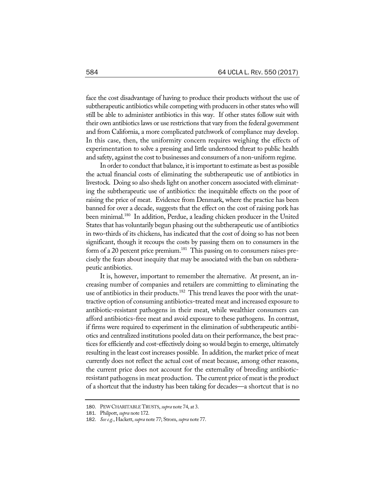face the cost disadvantage of having to produce their products without the use of subtherapeutic antibiotics while competing with producers in other states who will still be able to administer antibiotics in this way. If other states follow suit with their own antibiotics laws or use restrictions that vary from the federal government and from California, a more complicated patchwork of compliance may develop. In this case, then, the uniformity concern requires weighing the effects of experimentation to solve a pressing and little understood threat to public health and safety, against the cost to businesses and consumers of a non-uniform regime.

In order to conduct that balance, it is important to estimate as best as possible the actual financial costs of eliminating the subtherapeutic use of antibiotics in livestock. Doing so also sheds light on another concern associated with eliminating the subtherapeutic use of antibiotics: the inequitable effects on the poor of raising the price of meat. Evidence from Denmark, where the practice has been banned for over a decade, suggests that the effect on the cost of raising pork has been minimal.<sup>180</sup> In addition, Perdue, a leading chicken producer in the United States that has voluntarily begun phasing out the subtherapeutic use of antibiotics in two-thirds of its chickens, has indicated that the cost of doing so has not been significant, though it recoups the costs by passing them on to consumers in the form of a 20 percent price premium.<sup>181</sup> This passing on to consumers raises precisely the fears about inequity that may be associated with the ban on subtherapeutic antibiotics.

It is, however, important to remember the alternative. At present, an increasing number of companies and retailers are committing to eliminating the use of antibiotics in their products.<sup>182</sup> This trend leaves the poor with the unattractive option of consuming antibiotics-treated meat and increased exposure to antibiotic-resistant pathogens in their meat, while wealthier consumers can afford antibiotics-free meat and avoid exposure to these pathogens. In contrast, if firms were required to experiment in the elimination of subtherapeutic antibiotics and centralized institutions pooled data on their performance, the best practices for efficiently and cost-effectively doing so would begin to emerge, ultimately resulting in the least cost increases possible. In addition, the market price of meat currently does not reflect the actual cost of meat because, among other reasons, the current price does not account for the externality of breeding antibioticresistant pathogens in meat production. The current price of meat is the product of a shortcut that the industry has been taking for decades—a shortcut that is no

<sup>180</sup>. PEWCHARITABLETRUSTS, *supra* note 74, at 3.

<sup>181</sup>. Philpott, *supra* note 172.

<sup>182</sup>. *Seee.g.*, Hackett, *supra* note 77; Strom, *supra* note 77.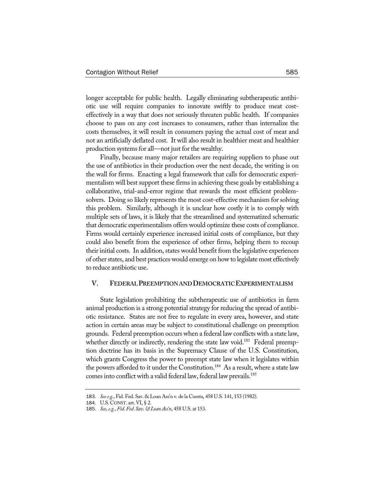longer acceptable for public health. Legally eliminating subtherapeutic antibiotic use will require companies to innovate swiftly to produce meat costeffectively in a way that does not seriously threaten public health. If companies choose to pass on any cost increases to consumers, rather than internalize the costs themselves, it will result in consumers paying the actual cost of meat and not an artificially deflated cost. It will also result in healthier meat and healthier production systems for all—not just for the wealthy.

Finally, because many major retailers are requiring suppliers to phase out the use of antibiotics in their production over the next decade, the writing is on the wall for firms. Enacting a legal framework that calls for democratic experimentalism will best support these firms in achieving these goals by establishing a collaborative, trial-and-error regime that rewards the most efficient problemsolvers. Doing so likely represents the most cost-effective mechanism for solving this problem. Similarly, although it is unclear how costly it is to comply with multiple sets of laws, it is likely that the streamlined and systematized schematic that democratic experimentalism offers would optimize these costs of compliance. Firms would certainly experience increased initial costs of compliance, but they could also benefit from the experience of other firms, helping them to recoup their initial costs. In addition, states would benefit from the legislative experiences of other states, and best practices would emerge on how to legislate most effectively to reduce antibiotic use.

# V. FEDERAL PREEMPTION AND DEMOCRATIC EXPERIMENTALISM

State legislation prohibiting the subtherapeutic use of antibiotics in farm animal production is a strong potential strategy for reducing the spread of antibiotic resistance. States are not free to regulate in every area, however, and state action in certain areas may be subject to constitutional challenge on preemption grounds. Federal preemption occurs when a federal law conflicts with a state law, whether directly or indirectly, rendering the state law void.<sup>183</sup> Federal preemption doctrine has its basis in the Supremacy Clause of the U.S. Constitution, which grants Congress the power to preempt state law when it legislates within the powers afforded to it under the Constitution.<sup>184</sup> As a result, where a state law comes into conflict with a valid federal law, federal law prevails.<sup>185</sup>

<sup>183</sup>. *Seee.g.*, Fid. Fed. Sav. & Loan Ass'n v. de la Cuesta, 458 U.S. 141, 153 (1982).

<sup>184</sup>. U.S.CONST. art. VI, § 2.

<sup>185</sup>. *See,e.g.*, *Fid. Fed. Sav. & LoanAss'n*, 458 U.S. at 153.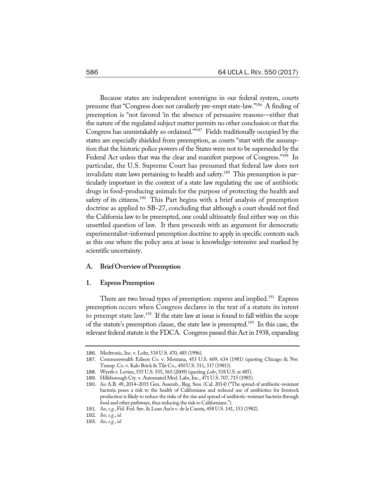Because states are independent sovereigns in our federal system, courts presume that "Congress does not cavalierly pre-empt state-law."186 A finding of preemption is "not favored 'in the absence of persuasive reasons—either that the nature of the regulated subject matter permits no other conclusion or that the Congress has unmistakably so ordained.'"187 Fields traditionally occupied by the states are especially shielded from preemption, as courts "start with the assumption that the historic police powers of the States were not to be superseded by the Federal Act unless that was the clear and manifest purpose of Congress."<sup>188</sup> In particular, the U.S. Supreme Court has presumed that federal law does not invalidate state laws pertaining to health and safety.<sup>189</sup> This presumption is particularly important in the context of a state law regulating the use of antibiotic drugs in food-producing animals for the purpose of protecting the health and safety of its citizens.<sup>190</sup> This Part begins with a brief analysis of preemption doctrine as applied to SB-27, concluding that although a court should not find the California law to be preempted, one could ultimately find either way on this unsettled question of law. It then proceeds with an argument for democratic experimentalist–informed preemption doctrine to apply in specific contexts such as this one where the policy area at issue is knowledge-intensive and marked by scientific uncertainty.

## **A. BriefOverviewofPreemption**

#### 1. **Express Preemption**

There are two broad types of preemption: express and implied.<sup>191</sup> Express preemption occurs when Congress declares in the text of a statute its intent to preempt state law.192 If the state law at issue is found to fall within the scope of the statute's preemption clause, the state law is preempted.193 In this case, the relevant federal statute is the FDCA. Congress passed this Act in 1938, expanding

<sup>186</sup>. Medtronic,Inc. v. Lohr, 518 U.S. 470, 485 (1996).

<sup>187</sup>. Commonwealth Edison Co. v. Montana, 453 U.S. 609, 634 (1981) (quoting Chicago & Nw. Transp. Co. v. Kalo Brick & Tile Co., 450 U.S. 311, 317 (1981)).

<sup>188</sup>. Wyeth v. Levine, 555 U.S. 555, 565 (2009) (quoting *Lohr*, 518 U.S. at 485).

<sup>189</sup>. Hillsborough Cty. v. Automated Med. Labs,Inc., 471 U.S. 707, 715 (1985).

<sup>190</sup>. *See* A.B. 49, 2014–2015 Gen. Assemb., Reg. Sess. (Cal. 2014) ("The spread of antibiotic-resistant bacteria poses a risk to the health of Californians and reduced use of antibiotics for livestock production is likely to reduce the risks of the rise and spread of antibiotic-resistant bacteria through food and other pathways, thus reducing the risk to Californians.").

<sup>191</sup>. *See,e.g.*, Fid. Fed. Sav. & Loan Ass'n v. de la Cuesta, 458 U.S. 141, 153 (1982).

<sup>192</sup>. *See,e.g.*, *id.*

<sup>193</sup>. *See,e.g.*, *id.*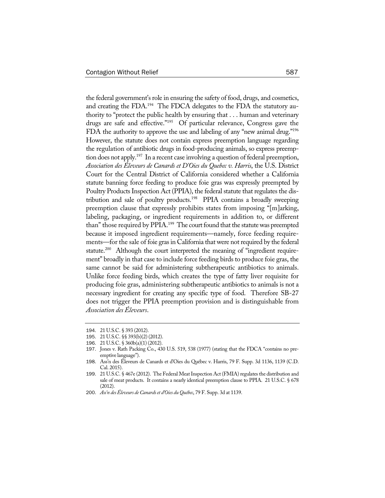the federal government's role in ensuring the safety of food, drugs, and cosmetics, and creating the FDA.<sup>194</sup> The FDCA delegates to the FDA the statutory authority to "protect the public health by ensuring that . . . human and veterinary drugs are safe and effective."195 Of particular relevance, Congress gave the FDA the authority to approve the use and labeling of any "new animal drug."<sup>196</sup> However, the statute does not contain express preemption language regarding the regulation of antibiotic drugs in food-producing animals, so express preemption does not apply.<sup>197</sup> In a recent case involving a question of federal preemption, *Association des Éleveurs de Canards et D'Oies du Quebec v. Harris*, the U.S. District Court for the Central District of California considered whether a California statute banning force feeding to produce foie gras was expressly preempted by Poultry Products Inspection Act (PPIA), the federal statute that regulates the distribution and sale of poultry products.198 PPIA contains a broadly sweeping preemption clause that expressly prohibits states from imposing "[m]arking, labeling, packaging, or ingredient requirements in addition to, or different than" those required by PPIA.<sup>199</sup> The court found that the statute was preempted because it imposed ingredient requirements—namely, force feeding requirements—for the sale of foie gras in California that were not required by the federal statute.<sup>200</sup> Although the court interpreted the meaning of "ingredient requirement" broadly in that case to include force feeding birds to produce foie gras, the same cannot be said for administering subtherapeutic antibiotics to animals. Unlike force feeding birds, which creates the type of fatty liver requisite for producing foie gras, administering subtherapeutic antibiotics to animals is not a necessary ingredient for creating any specific type of food. Therefore SB-27 does not trigger the PPIA preemption provision and is distinguishable from *Association des Éleveurs*.

<sup>194</sup>. 21 U.S.C. § 393 (2012).

<sup>195</sup>. 21 U.S.C. §§ 393(b)(2) (2012).

<sup>196</sup>. 21 U.S.C. § 360b(a)(1) (2012).

<sup>197</sup>. Jones v. Rath Packing Co., 430 U.S. 519, 538 (1977) (stating that the FDCA "contains no preemptive language").

<sup>198</sup>. Ass'n des Éleveurs de Canards et d'Oies du Québec v. Harris, 79 F. Supp. 3d 1136, 1139 (C.D. Cal. 2015).

<sup>199. 21</sup> U.S.C. § 467e (2012). The Federal Meat Inspection Act (FMIA) regulates the distribution and sale of meat products. It contains a nearly identical preemption clause to PPIA. 21 U.S.C. § 678 (2012).

<sup>200</sup>. *Ass'n desÉleveurs deCanardset d'Oies du Québec*, 79 F. Supp. 3d at 1139.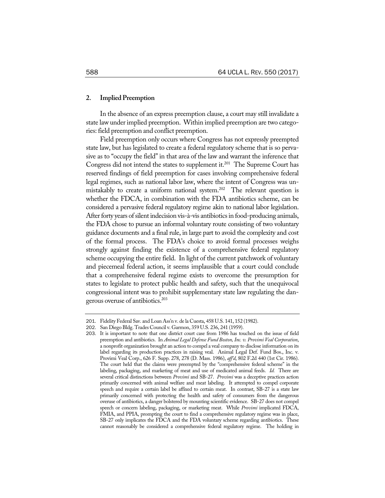## 2. **Implied Preemption**

In the absence of an express preemption clause, a court may still invalidate a state law under implied preemption. Within implied preemption are two categories: field preemption and conflict preemption.

Field preemption only occurs where Congress has not expressly preempted state law, but has legislated to create a federal regulatory scheme that is so pervasive as to "occupy the field" in that area of the law and warrant the inference that Congress did not intend the states to supplement it.<sup>201</sup> The Supreme Court has reserved findings of field preemption for cases involving comprehensive federal legal regimes, such as national labor law, where the intent of Congress was unmistakably to create a uniform national system.<sup>202</sup> The relevant question is whether the FDCA, in combination with the FDA antibiotics scheme, can be considered a pervasive federal regulatory regime akin to national labor legislation. After forty years of silent indecision vis-à-vis antibiotics in food-producing animals, the FDA chose to pursue an informal voluntary route consisting of two voluntary guidance documents and a final rule, in large part to avoid the complexity and cost of the formal process. The FDA's choice to avoid formal processes weighs strongly against finding the existence of a comprehensive federal regulatory scheme occupying the entire field. In light of the current patchwork of voluntary and piecemeal federal action, it seems implausible that a court could conclude that a comprehensive federal regime exists to overcome the presumption for states to legislate to protect public health and safety, such that the unequivocal congressional intent was to prohibit supplementary state law regulating the dangerous overuse of antibiotics.<sup>203</sup>

<sup>201</sup>. Fidelity Federal Sav. and Loan Ass'n v. de la Cuesta, 458 U.S. 141, 152 (1982).

<sup>202</sup>. San Diego Bldg. Trades Council v. Garmon, 359 U.S. 236, 241 (1959).

<sup>203</sup>. It is important to note that one district court case from 1986 has touched on the issue of field preemption and antibiotics. In *Animal Legal Defense Fund Boston, Inc. v. Provimi Veal Corporation*, a nonprofit organization brought an action to compel a veal company to disclose information on its label regarding its production practices in raising veal. Animal Legal Def. Fund Bos., Inc. v. Provimi Veal Corp., 626 F. Supp. 278, 278 (D. Mass. 1986), *aff'd*, 802 F.2d 440 (1st Cir. 1986). The court held that the claims were preempted by the "comprehensive federal scheme" in the labeling, packaging, and marketing of meat and use of medicated animal feeds. *Id.* There are several critical distinctions between *Provimi* and SB-27. *Provimi* was a deceptive practices action primarily concerned with animal welfare and meat labeling. It attempted to compel corporate speech and require a certain label be affixed to certain meat. In contrast, SB-27 is a state law primarily concerned with protecting the health and safety of consumers from the dangerous overuse of antibiotics, a danger bolstered by mounting scientific evidence. SB-27 does not compel speech or concern labeling, packaging, or marketing meat. While *Provimi* implicated FDCA, FMIA, and PPIA, prompting the court to find a comprehensive regulatory regime was in place, SB-27 only implicates the FDCA and the FDA voluntary scheme regarding antibiotics. These cannot reasonably be considered a comprehensive federal regulatory regime. The holding in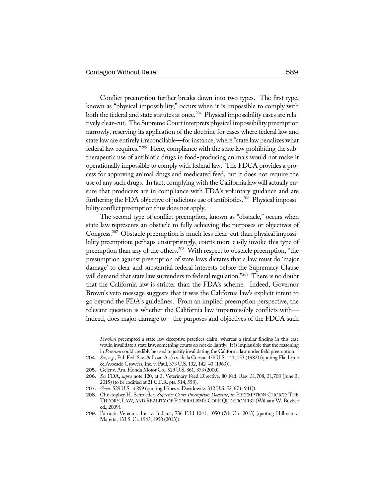Conflict preemption further breaks down into two types. The first type, known as "physical impossibility," occurs when it is impossible to comply with both the federal and state statutes at once.<sup>204</sup> Physical impossibility cases are relatively clear-cut. The Supreme Court interprets physical impossibility preemption narrowly, reserving its application of the doctrine for cases where federal law and state law are entirely irreconcilable—for instance, where "state law penalizes what federal law requires."205 Here, compliance with the state law prohibiting the subtherapeutic use of antibiotic drugs in food-producing animals would not make it operationally impossible to comply with federal law. The FDCA provides a process for approving animal drugs and medicated feed, but it does not require the use of any such drugs. In fact, complying with the California law will actually ensure that producers are in compliance with FDA's voluntary guidance and are furthering the FDA objective of judicious use of antibiotics.<sup>206</sup> Physical impossibility conflict preemption thus does not apply.

The second type of conflict preemption, known as "obstacle," occurs when state law represents an obstacle to fully achieving the purposes or objectives of Congress.207 Obstacle preemption is much less clear-cut than physical impossibility preemption; perhaps unsurprisingly, courts more easily invoke this type of preemption than any of the others.<sup>208</sup> With respect to obstacle preemption, "the presumption against preemption of state laws dictates that a law must do 'major damage' to clear and substantial federal interests before the Supremacy Clause will demand that state law surrenders to federal regulation."<sup>209</sup> There is no doubt that the California law is stricter than the FDA's scheme. Indeed, Governor Brown's veto message suggests that it was the California law's explicit intent to go beyond the FDA's guidelines. From an implied preemption perspective, the relevant question is whether the California law impermissibly conflicts with indeed, does major damage to—the purposes and objectives of the FDCA such

*Provimi* preempted a state law deceptive practices claim, whereas a similar finding in this case would invalidate a state law, something courts do not do lightly. It is implausible that the reasoning in *Provimi* could credibly be used to justify invalidating the California law under field preemption.

<sup>204</sup>. *See, e.g.*, Fid. Fed. Sav. & Loan Ass'n v. de la Cuesta, 458 U.S. 141, 153 (1982) (quoting Fla. Lime & Avocado Growers, Inc. v. Paul, 373 U.S. 132, 142-43 (1963)).

<sup>205</sup>. Geier v. Am. Honda Motor Co., 529 U.S. 861, 873 (2000).

<sup>206</sup>. *See* FDA, *supra* note 120, at 3; Veterinary Feed Directive, 80 Fed. Reg. 31,708, 31,708 (June 3, 2015) (to be codified at 21 C.F.R. pts. 514, 558).

<sup>207</sup>. *Geier*, 529 U.S. at 899 (quoting Hines v. Davidowitz, 312 U.S. 52, 67 (1941)).

<sup>208</sup>. Christopher H. Schroeder, *Supreme Court Preemption Doctrine*, *in* PREEMPTION CHOICE: THE THEORY, LAW, AND REALITY OF FEDERALISM'S CORE QUESTION 132 (William W. Buzbee ed., 2009).

<sup>209</sup>. Patriotic Veterans, Inc. v. Indiana, 736 F.3d 1041, 1050 (7th Cir. 2013) (quoting Hillman v. Maretta, 133 S. Ct. 1943, 1950 (2013)).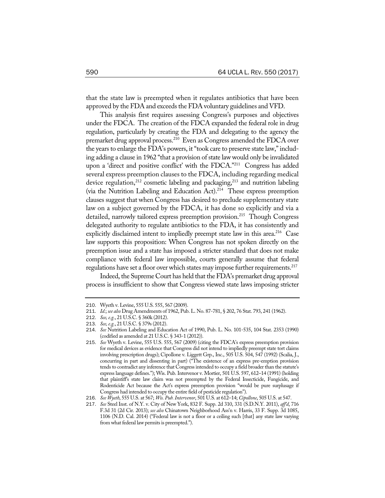that the state law is preempted when it regulates antibiotics that have been approved by the FDA and exceeds the FDA voluntary guidelines and VFD.

This analysis first requires assessing Congress's purposes and objectives under the FDCA. The creation of the FDCA expanded the federal role in drug regulation, particularly by creating the FDA and delegating to the agency the premarket drug approval process.<sup>210</sup> Even as Congress amended the FDCA over the years to enlarge the FDA's powers, it "took care to preserve state law," including adding a clause in 1962 "that a provision of state law would only be invalidated upon a 'direct and positive conflict' with the FDCA."211 Congress has added several express preemption clauses to the FDCA, including regarding medical device regulation, $212$  cosmetic labeling and packaging, $213$  and nutrition labeling (via the Nutrition Labeling and Education Act).<sup>214</sup> These express preemption clauses suggest that when Congress has desired to preclude supplementary state law on a subject governed by the FDCA, it has done so explicitly and via a detailed, narrowly tailored express preemption provision.<sup>215</sup> Though Congress delegated authority to regulate antibiotics to the FDA, it has consistently and explicitly disclaimed intent to impliedly preempt state law in this area.<sup>216</sup> Case law supports this proposition: When Congress has not spoken directly on the preemption issue and a state has imposed a stricter standard that does not make compliance with federal law impossible, courts generally assume that federal regulations have set a floor over which states may impose further requirements.<sup>217</sup>

Indeed, the Supreme Court has held that the FDA's premarket drug approval process is insufficient to show that Congress viewed state laws imposing stricter

<sup>210</sup>. Wyeth v. Levine, 555 U.S. 555, 567 (2009).

<sup>211</sup>. *Id.*; *see also* Drug Amendments of 1962, Pub. L. No. 87-781, § 202, 76 Stat. 793, 241 (1962).

<sup>212</sup>. *See,e.g.*, 21 U.S.C. § 360k (2012).

<sup>213</sup>. *See,e.g.*, 21 U.S.C. § 379s (2012).

<sup>214</sup>. *See* Nutrition Labeling and Education Act of 1990, Pub. L. No. 101-535, 104 Stat. 2353 (1990) (codified as amended at 21 U.S.C. § 343-1 (2012)).

<sup>215</sup>. *See* Wyeth v. Levine, 555 U.S. 555, 567 (2009) (citing the FDCA's express preemption provision for medical devices as evidence that Congress did not intend to impliedly preempt state tort claims involving prescription drugs); Cipollone v. Liggett Grp., Inc., 505 U.S. 504, 547 (1992) (Scalia, J., concurring in part and dissenting in part) ("The existence of an express pre-emption provision tends to contradict any inference that Congress intended to occupy a field broader than the statute's express language defines."); Wis. Pub. Intervenor v. Mortier, 501 U.S. 597, 612–14 (1991) (holding that plaintiff's state law claim was not preempted by the Federal Insecticide, Fungicide, and Rodenticide Act because the Act's express preemption provision "would be pure surplusage if Congress had intended to occupy the entire field of pesticide regulation").

<sup>216</sup>. *See Wyeth*, 555 U.S. at 567; *Wis. Pub.Intervenor*, 501 U.S. at 612–14; *Cipollone*, 505 U.S. at 547.

<sup>217</sup>. *See* Steel Inst. of N.Y. v. City of New York, 832 F. Supp. 2d 310, 331 (S.D.N.Y. 2011), *aff'd*, 716 F.3d 31 (2d Cir. 2013); *see also* Chinatown Neighborhood Ass'n v. Harris, 33 F. Supp. 3d 1085, 1106 (N.D. Cal. 2014) ("Federal law is not a floor or a ceiling such [that] any state law varying from what federal law permits is preempted.").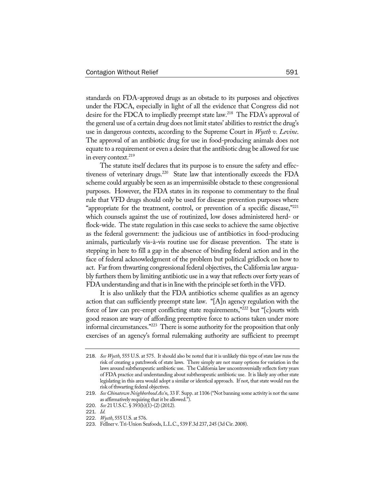standards on FDA-approved drugs as an obstacle to its purposes and objectives under the FDCA, especially in light of all the evidence that Congress did not desire for the FDCA to impliedly preempt state law.<sup>218</sup> The FDA's approval of the general use of a certain drug does not limit states' abilities to restrict the drug's use in dangerous contexts, according to the Supreme Court in *Wyeth v. Levine*. The approval of an antibiotic drug for use in food-producing animals does not equate to a requirement or even a desire that the antibiotic drug be allowed for use in every context.<sup>219</sup>

The statute itself declares that its purpose is to ensure the safety and effectiveness of veterinary drugs.<sup>220</sup> State law that intentionally exceeds the FDA scheme could arguably be seen as an impermissible obstacle to these congressional purposes. However, the FDA states in its response to commentary to the final rule that VFD drugs should only be used for disease prevention purposes where "appropriate for the treatment, control, or prevention of a specific disease," $^{221}$ which counsels against the use of routinized, low doses administered herd- or flock-wide. The state regulation in this case seeks to achieve the same objective as the federal government: the judicious use of antibiotics in food-producing animals, particularly vis-à-vis routine use for disease prevention. The state is stepping in here to fill a gap in the absence of binding federal action and in the face of federal acknowledgment of the problem but political gridlock on how to act. Far from thwarting congressional federal objectives, the California law arguably furthers them by limiting antibiotic use in a way that reflects over forty years of FDA understanding and that is in line with the principle set forth in the VFD.

It is also unlikely that the FDA antibiotics scheme qualifies as an agency action that can sufficiently preempt state law. "[A]n agency regulation with the force of law can pre-empt conflicting state requirements,"222 but "[c]ourts with good reason are wary of affording preemptive force to actions taken under more informal circumstances."223 There is some authority for the proposition that only exercises of an agency's formal rulemaking authority are sufficient to preempt

<sup>218</sup>. *See Wyeth*, 555 U.S. at 575. It should also be noted that it is unlikely this type of state law runs the risk of creating a patchwork of state laws. There simply are not many options for variation in the laws around subtherapeutic antibiotic use. The California law uncontroversially reflects forty years of FDA practice and understanding about subtherapeutic antibiotic use. It is likely any other state legislating in this area would adopt a similar or identical approach. If not, that state would run the risk of thwarting federal objectives.

<sup>219</sup>. *See Chinatown Neighborhood Ass'n*, 33 F. Supp. at 1106 ("Not banning some activity is not the same as affirmatively requiring that it be allowed.").

<sup>220</sup>. *See* 21 U.S.C. § 393(b)(1)-(2) (2012).

<sup>221</sup>. *Id.*

<sup>222</sup>. *Wyeth*, 555 U.S. at 576.

<sup>223</sup>. Fellner v. Tri-Union Seafoods, L.L.C., 539 F.3d 237, 245 (3d Cir. 2008).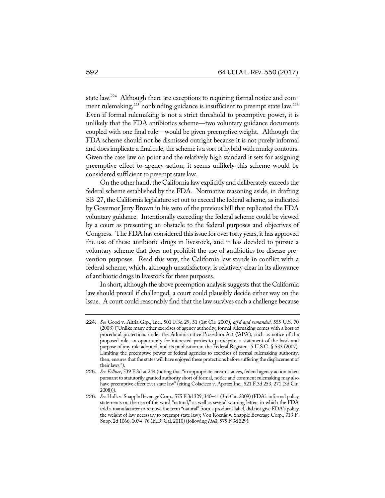state law.<sup>224</sup> Although there are exceptions to requiring formal notice and comment rulemaking,<sup>225</sup> nonbinding guidance is insufficient to preempt state law.<sup>226</sup> Even if formal rulemaking is not a strict threshold to preemptive power, it is unlikely that the FDA antibiotics scheme—two voluntary guidance documents coupled with one final rule—would be given preemptive weight. Although the FDA scheme should not be dismissed outright because it is not purely informal and does implicate a final rule, the scheme is a sort of hybrid with murky contours. Given the case law on point and the relatively high standard it sets for assigning preemptive effect to agency action, it seems unlikely this scheme would be considered sufficient to preempt state law.

On the other hand, the California law explicitly and deliberately exceeds the federal scheme established by the FDA. Normative reasoning aside, in drafting SB-27, the California legislature set out to exceed the federal scheme, as indicated by Governor Jerry Brown in his veto of the previous bill that replicated the FDA voluntary guidance. Intentionally exceeding the federal scheme could be viewed by a court as presenting an obstacle to the federal purposes and objectives of Congress. The FDA has considered this issue for over forty years, it has approved the use of these antibiotic drugs in livestock, and it has decided to pursue a voluntary scheme that does not prohibit the use of antibiotics for disease prevention purposes. Read this way, the California law stands in conflict with a federal scheme, which, although unsatisfactory, is relatively clear in its allowance of antibiotic drugs in livestock for these purposes.

In short, although the above preemption analysis suggests that the California law should prevail if challenged, a court could plausibly decide either way on the issue. A court could reasonably find that the law survives such a challenge because

<sup>224</sup>. *See* Good v. Altria Grp., Inc., 501 F.3d 29, 51 (1st Cir. 2007), *aff'd and remanded*, 555 U.S. 70 (2008) ("Unlike many other exercises of agency authority, formal rulemaking comes with a host of procedural protections under the Administrative Procedure Act ('APA'), such as notice of the proposed rule, an opportunity for interested parties to participate, a statement of the basis and purpose of any rule adopted, and its publication in the Federal Register. 5 U.S.C. § 533 (2007). Limiting the preemptive power of federal agencies to exercises of formal rulemaking authority, then, ensures that the states will have enjoyed these protections before suffering the displacement of their laws.").

<sup>225</sup>. *See Fellner*, 539 F.3d at 244 (noting that "in appropriate circumstances, federal agency action taken pursuant to statutorily granted authority short of formal, notice and comment rulemaking may also have preemptive effect over state law" (citing Colacicco v. Apotex Inc., 521 F.3d 253, 271 (3d Cir.  $2008))$ ).

<sup>226</sup>. *See* Holk v. Snapple Beverage Corp., 575 F.3d 329, 340–41 (3rd Cir. 2009) (FDA's informal policy statements on the use of the word "natural," as well as several warning letters in which the FDA told a manufacturer to remove the term "natural" from a product's label, did not give FDA's policy the weight of law necessary to preempt state law); Von Koenig v. Snapple Beverage Corp., 713 F. Supp. 2d 1066, 1074–76 (E.D. Cal. 2010) (following *Holk*, 575 F.3d 329).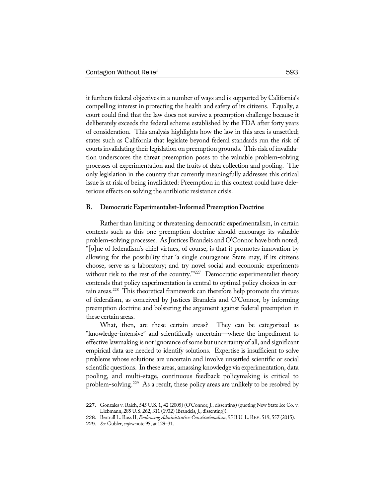it furthers federal objectives in a number of ways and is supported by California's compelling interest in protecting the health and safety of its citizens. Equally, a court could find that the law does not survive a preemption challenge because it deliberately exceeds the federal scheme established by the FDA after forty years of consideration. This analysis highlights how the law in this area is unsettled; states such as California that legislate beyond federal standards run the risk of courts invalidating their legislation on preemption grounds. This risk of invalidation underscores the threat preemption poses to the valuable problem-solving processes of experimentation and the fruits of data collection and pooling. The only legislation in the country that currently meaningfully addresses this critical issue is at risk of being invalidated: Preemption in this context could have deleterious effects on solving the antibiotic resistance crisis.

#### **B.** Democratic Experimentalist-Informed Preemption Doctrine

Rather than limiting or threatening democratic experimentalism, in certain contexts such as this one preemption doctrine should encourage its valuable problem-solving processes. As Justices Brandeis and O'Connor have both noted, "[o]ne of federalism's chief virtues, of course, is that it promotes innovation by allowing for the possibility that 'a single courageous State may, if its citizens choose, serve as a laboratory; and try novel social and economic experiments without risk to the rest of the country.<sup>""227</sup> Democratic experimentalist theory contends that policy experimentation is central to optimal policy choices in certain areas.<sup>228</sup> This theoretical framework can therefore help promote the virtues of federalism, as conceived by Justices Brandeis and O'Connor, by informing preemption doctrine and bolstering the argument against federal preemption in these certain areas.

What, then, are these certain areas? They can be categorized as "knowledge-intensive" and scientifically uncertain—where the impediment to effective lawmaking is not ignorance of some but uncertainty of all, and significant empirical data are needed to identify solutions. Expertise is insufficient to solve problems whose solutions are uncertain and involve unsettled scientific or social scientific questions. In these areas, amassing knowledge via experimentation, data pooling, and multi-stage, continuous feedback policymaking is critical to problem-solving.229 As a result, these policy areas are unlikely to be resolved by

<sup>227</sup>. Gonzales v. Raich, 545 U.S. 1, 42 (2005) (O'Connor, J., dissenting) (quoting New State Ice Co. v. Liebmann, 285 U.S. 262, 311 (1932) (Brandeis, J., dissenting)).

<sup>228.</sup> Bertrall L. Ross II, *Embracing Administrative Constitutionalism*, 95 B.U. L. REV. 519, 557 (2015).

<sup>229</sup>. *See* Gubler, *supra* note 95, at 129–31.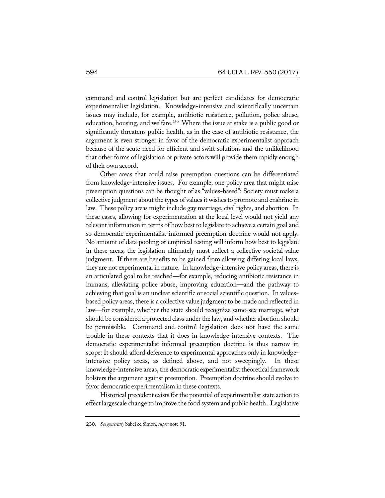command-and-control legislation but are perfect candidates for democratic experimentalist legislation. Knowledge-intensive and scientifically uncertain issues may include, for example, antibiotic resistance, pollution, police abuse, education, housing, and welfare.<sup>230</sup> Where the issue at stake is a public good or significantly threatens public health, as in the case of antibiotic resistance, the argument is even stronger in favor of the democratic experimentalist approach because of the acute need for efficient and swift solutions and the unlikelihood that other forms of legislation or private actors will provide them rapidly enough of their own accord.

Other areas that could raise preemption questions can be differentiated from knowledge-intensive issues. For example, one policy area that might raise preemption questions can be thought of as "values-based": Society must make a collective judgment about the types of values it wishes to promote and enshrine in law. These policy areas might include gay marriage, civil rights, and abortion. In these cases, allowing for experimentation at the local level would not yield any relevant information in terms of how best to legislate to achieve a certain goal and so democratic experimentalist-informed preemption doctrine would not apply. No amount of data pooling or empirical testing will inform how best to legislate in these areas; the legislation ultimately must reflect a collective societal value judgment. If there are benefits to be gained from allowing differing local laws, they are not experimental in nature. In knowledge-intensive policy areas, there is an articulated goal to be reached—for example, reducing antibiotic resistance in humans, alleviating police abuse, improving education—and the pathway to achieving that goal is an unclear scientific or social scientific question. In valuesbased policy areas, there is a collective value judgment to be made and reflected in law—for example, whether the state should recognize same-sex marriage, what should be considered a protected class under the law, and whether abortion should be permissible. Command-and-control legislation does not have the same trouble in these contexts that it does in knowledge-intensive contexts. The democratic experimentalist-informed preemption doctrine is thus narrow in scope: It should afford deference to experimental approaches only in knowledgeintensive policy areas, as defined above, and not sweepingly. In these knowledge-intensive areas, the democratic experimentalist theoretical framework bolsters the argument against preemption. Preemption doctrine should evolve to favor democratic experimentalism in these contexts.

Historical precedent exists for the potential of experimentalist state action to effect largescale change to improve the food system and public health. Legislative

<sup>230</sup>. *See generally* Sabel & Simon, *supra* note 91.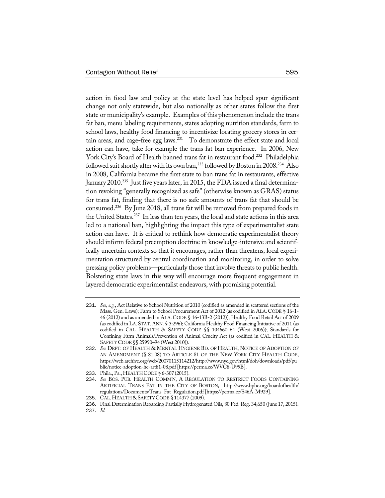action in food law and policy at the state level has helped spur significant change not only statewide, but also nationally as other states follow the first state or municipality's example. Examples of this phenomenon include the trans fat ban, menu labeling requirements, states adopting nutrition standards, farm to school laws, healthy food financing to incentivize locating grocery stores in certain areas, and cage-free egg laws.<sup>231</sup> To demonstrate the effect state and local action can have, take for example the trans fat ban experience. In 2006, New York City's Board of Health banned trans fat in restaurant food.<sup>232</sup> Philadelphia followed suit shortly after with its own ban,<sup>233</sup> followed by Boston in 2008.<sup>234</sup> Also in 2008, California became the first state to ban trans fat in restaurants, effective January 2010.<sup>235</sup> Just five years later, in 2015, the FDA issued a final determination revoking "generally recognized as safe" (otherwise known as GRAS) status for trans fat, finding that there is no safe amounts of trans fat that should be consumed.236 By June 2018, all trans fat will be removed from prepared foods in the United States.237 In less than ten years, the local and state actions in this area led to a national ban, highlighting the impact this type of experimentalist state action can have. It is critical to rethink how democratic experimentalist theory should inform federal preemption doctrine in knowledge-intensive and scientifically uncertain contexts so that it encourages, rather than threatens, local experimentation structured by central coordination and monitoring, in order to solve pressing policy problems—particularly those that involve threats to public health. Bolstering state laws in this way will encourage more frequent engagement in layered democratic experimentalist endeavors, with promising potential.

<sup>231</sup>. *See, e.g.*, Act Relative to School Nutrition of 2010 (codified as amended in scattered sections of the Mass. Gen. Laws); Farm to School Procurement Act of 2012 (as codified in ALA. CODE § 16-1- 46 (2012) and as amended in ALA. CODE § 16-13B-2 (2012)); Healthy Food Retail Act of 2009 (as codified in LA. STAT.ANN. § 3:296); California Healthy Food Financing Initiative of 2011 (as codified in CAL. HEALTH & SAFETY CODE §§ 104660–64 (West 2006)); Standards for Confining Farm Animals/Prevention of Animal Cruelty Act (as codified in CAL. HEALTH & SAFETYCODE §§ 25990–94 (West 2010)).

<sup>232</sup>. *See* DEPT. OF HEALTH & MENTAL HYGIENE BD. OF HEALTH, NOTICE OF ADOPTION OF AN AMENDMENT (§ 81.08) TO ARTICLE 81 OF THE NEW YORK CITY HEALTH CODE, https://web.archive.org/web/20070115114212/http://www.nyc.gov/html/doh/downloads/pdf/pu blic/notice-adoption-hc-art81-08.pdf [https://perma.cc/WVC8-U99B].

<sup>233</sup>. Phila., Pa., HEALTH CODE§ 6-307 (2015).

<sup>234</sup>. *See* BOS. PUB. HEALTH COMM'N, A REGULATION TO RESTRICT FOODS CONTAINING ARTIFICIAL TRANS FAT IN THE CITY OF BOSTON, http://www.bphc.org/boardofhealth/ regulations/Documents/Trans\_Fat\_Regulation.pdf[https://perma.cc/S46A-M929].

<sup>235</sup>. CAL.HEALTH &SAFETYCODE §114377 (2009).

<sup>236</sup>. Final Determination Regarding Partially Hydrogenated Oils, 80 Fed. Reg. 34,650 (June 17, 2015).

<sup>237</sup>. *Id.*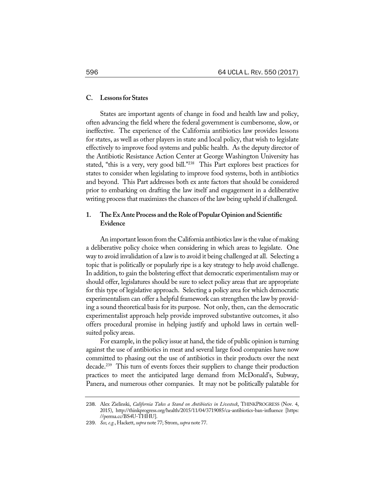#### **C. Lessonsfor States**

States are important agents of change in food and health law and policy, often advancing the field where the federal government is cumbersome, slow, or ineffective. The experience of the California antibiotics law provides lessons for states, as well as other players in state and local policy, that wish to legislate effectively to improve food systems and public health. As the deputy director of the Antibiotic Resistance Action Center at George Washington University has stated, "this is a very, very good bill."238 This Part explores best practices for states to consider when legislating to improve food systems, both in antibiotics and beyond. This Part addresses both ex ante factors that should be considered prior to embarking on drafting the law itself and engagement in a deliberative writing process that maximizes the chances of the law being upheld if challenged.

# 1. The Ex Ante Process and the Role of Popular Opinion and Scientific **Evidence**

An important lesson from the California antibiotics law is the value of making a deliberative policy choice when considering in which areas to legislate. One way to avoid invalidation of a law is to avoid it being challenged at all. Selecting a topic that is politically or popularly ripe is a key strategy to help avoid challenge. In addition, to gain the bolstering effect that democratic experimentalism may or should offer, legislatures should be sure to select policy areas that are appropriate for this type of legislative approach. Selecting a policy area for which democratic experimentalism can offer a helpful framework can strengthen the law by providing a sound theoretical basis for its purpose. Not only, then, can the democratic experimentalist approach help provide improved substantive outcomes, it also offers procedural promise in helping justify and uphold laws in certain wellsuited policy areas.

For example, in the policy issue at hand, the tide of public opinion is turning against the use of antibiotics in meat and several large food companies have now committed to phasing out the use of antibiotics in their products over the next decade.<sup>239</sup> This turn of events forces their suppliers to change their production practices to meet the anticipated large demand from McDonald's, Subway, Panera, and numerous other companies. It may not be politically palatable for

<sup>238</sup>. Alex Zielinski, *California Takes a Stand on Antibiotics in Livestock*, THINKPROGRESS (Nov. 4, 2015), http://thinkprogress.org/health/2015/11/04/3719085/ca-antibiotics-ban-influence [https: //perma.cc/BS4U-THHU].

<sup>239</sup>. *See,e.g.*, Hackett, *supra* note 77; Strom, *supra* note 77.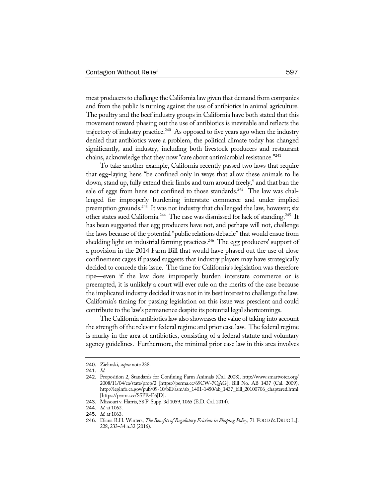meat producers to challenge the California law given that demand from companies and from the public is turning against the use of antibiotics in animal agriculture. The poultry and the beef industry groups in California have both stated that this movement toward phasing out the use of antibiotics is inevitable and reflects the trajectory of industry practice.<sup>240</sup> As opposed to five years ago when the industry denied that antibiotics were a problem, the political climate today has changed significantly, and industry, including both livestock producers and restaurant chains, acknowledge that they now "care about antimicrobial resistance."<sup>241</sup>

To take another example, California recently passed two laws that require that egg-laying hens "be confined only in ways that allow these animals to lie down, stand up, fully extend their limbs and turn around freely," and that ban the sale of eggs from hens not confined to those standards.<sup>242</sup> The law was challenged for improperly burdening interstate commerce and under implied preemption grounds.<sup>243</sup> It was not industry that challenged the law, however; six other states sued California.<sup>244</sup> The case was dismissed for lack of standing.<sup>245</sup> It has been suggested that egg producers have not, and perhaps will not, challenge the laws because of the potential "public relations debacle" that would ensue from shedding light on industrial farming practices.<sup>246</sup> The egg producers' support of a provision in the 2014 Farm Bill that would have phased out the use of close confinement cages if passed suggests that industry players may have strategically decided to concede this issue. The time for California's legislation was therefore ripe—even if the law does improperly burden interstate commerce or is preempted, it is unlikely a court will ever rule on the merits of the case because the implicated industry decided it was not in its best interest to challenge the law. California's timing for passing legislation on this issue was prescient and could contribute to the law's permanence despite its potential legal shortcomings.

The California antibiotics law also showcases the value of taking into account the strength of the relevant federal regime and prior case law. The federal regime is murky in the area of antibiotics, consisting of a federal statute and voluntary agency guidelines. Furthermore, the minimal prior case law in this area involves

<sup>240</sup>. Zielinski, *supra* note 238.

<sup>241</sup>. *Id.*

<sup>242</sup>. Proposition 2, Standards for Confining Farm Animals (Cal. 2008), http://www.smartvoter.org/ 2008/11/04/ca/state/prop/2 [https://perma.cc/69CW-7QAG]; Bill No. AB 1437 (Cal. 2009), http://leginfo.ca.gov/pub/09-10/bill/asm/ab\_1401-1450/ab\_1437\_bill\_20100706\_chaptered.html [https://perma.cc/S5PE-E6JD].

<sup>243</sup>. Missouri v. Harris, 58 F. Supp. 3d 1059, 1065 (E.D. Cal. 2014).

<sup>244</sup>. *Id.* at 1062.

<sup>245</sup>. *Id.* at 1063.

<sup>246</sup>. Diana R.H. Winters, *The Benefits of Regulatory Friction in Shaping Policy*, 71 FOOD & DRUG L.J. 228, 233–34 n.32 (2016).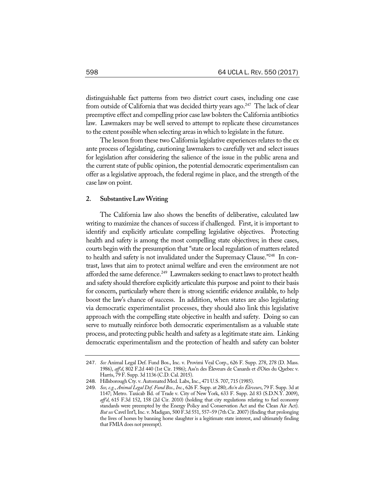distinguishable fact patterns from two district court cases, including one case from outside of California that was decided thirty years ago.<sup>247</sup> The lack of clear preemptive effect and compelling prior case law bolsters the California antibiotics law. Lawmakers may be well served to attempt to replicate these circumstances to the extent possible when selecting areas in which to legislate in the future.

The lesson from these two California legislative experiences relates to the ex ante process of legislating, cautioning lawmakers to carefully vet and select issues for legislation after considering the salience of the issue in the public arena and the current state of public opinion, the potential democratic experimentalism can offer as a legislative approach, the federal regime in place, and the strength of the case law on point.

## **2. SubstantiveLawWriting**

The California law also shows the benefits of deliberative, calculated law writing to maximize the chances of success if challenged. First, it is important to identify and explicitly articulate compelling legislative objectives. Protecting health and safety is among the most compelling state objectives; in these cases, courts begin with the presumption that "state or local regulation of matters related to health and safety is not invalidated under the Supremacy Clause."<sup>248</sup> In contrast, laws that aim to protect animal welfare and even the environment are not afforded the same deference.<sup>249</sup> Lawmakers seeking to enact laws to protect health and safety should therefore explicitly articulate this purpose and point to their basis for concern, particularly where there is strong scientific evidence available, to help boost the law's chance of success. In addition, when states are also legislating via democratic experimentalist processes, they should also link this legislative approach with the compelling state objective in health and safety. Doing so can serve to mutually reinforce both democratic experimentalism as a valuable state process, and protecting public health and safety as a legitimate state aim. Linking democratic experimentalism and the protection of health and safety can bolster

<sup>247</sup>. *See* Animal Legal Def. Fund Bos., Inc. v. Provimi Veal Corp., 626 F. Supp. 278, 278 (D. Mass. 1986), *aff'd*, 802 F.2d 440 (1st Cir. 1986); Ass'n des Éleveurs de Canards et d'Oies du Quebec v. Harris, 79 F. Supp. 3d 1136 (C.D. Cal. 2015).

<sup>248</sup>. Hillsborough Cty. v. Automated Med. Labs,Inc., 471 U.S. 707, 715 (1985).

<sup>249</sup>. *See, e.g.*, *Animal Legal Def. Fund Bos.,Inc.*, 626 F. Supp. at 280; *Ass'n des Éleveurs*, 79 F. Supp. 3d at 1147; Metro. Taxicab Bd. of Trade v. City of New York, 633 F. Supp. 2d 83 (S.D.N.Y. 2009), *aff'd*, 615 F.3d 152, 158 (2d Cir. 2010) (holding that city regulations relating to fuel economy standards were preempted by the Energy Policy and Conservation Act and the Clean Air Act). *But see* CavelInt'l,Inc. v. Madigan, 500 F.3d 551, 557–59 (7th Cir. 2007) (finding that prolonging the lives of horses by banning horse slaughter is a legitimate state interest, and ultimately finding that FMIA does not preempt).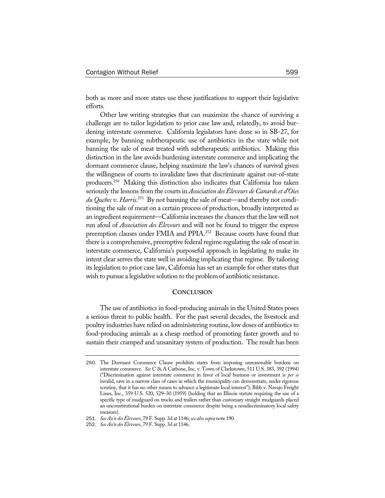both as more and more states use these justifications to support their legislative efforts.

Other law writing strategies that can maximize the chance of surviving a challenge are to tailor legislation to prior case law and, relatedly, to avoid burdening interstate commerce. California legislators have done so in SB-27, for example, by banning subtherapeutic use of antibiotics in the state while not banning the sale of meat treated with subtherapeutic antibiotics. Making this distinction in the law avoids burdening interstate commerce and implicating the dormant commerce clause, helping maximize the law's chances of survival given the willingness of courts to invalidate laws that discriminate against out-of-state producers.250 Making this distinction also indicates that California has taken seriously the lessons from the courts in *Association desÉleveurs deCanardset d'Oies du Quebec v. Harris*. 251 By not banning the sale of meat—and thereby not conditioning the sale of meat on a certain process of production, broadly interpreted as an ingredient requirement—California increases the chances that the law will not run afoul of *Association des Éleveurs* and will not be found to trigger the express preemption clauses under FMIA and PPIA.<sup>252</sup> Because courts have found that there is a comprehensive, preemptive federal regime regulating the sale of meat in interstate commerce, California's purposeful approach in legislating to make its intent clear serves the state well in avoiding implicating that regime. By tailoring its legislation to prior case law, California has set an example for other states that wish to pursue a legislative solution to the problem of antibiotic resistance.

#### **CONCLUSION**

The use of antibiotics in food-producing animals in the United States poses a serious threat to public health. For the past several decades, the livestock and poultry industries have relied on administering routine, low doses of antibiotics to food-producing animals as a cheap method of promoting faster growth and to sustain their cramped and unsanitary system of production. The result has been

<sup>250</sup>. The Dormant Commerce Clause prohibits states from imposing unreasonable burdens on interstate commerce. *See* C & A Carbone, Inc. v. Town of Clarkstown, 511 U.S. 383, 392 (1994) ("Discrimination against interstate commerce in favor of local business or investment is *per se* invalid, save in a narrow class of cases in which the municipality can demonstrate, under rigorous scrutiny, that it has no other means to advance a legitimate local interest"); Bibb v. Navajo Freight Lines, Inc., 359 U.S. 520, 529–30 (1959) (holding that an Illinois statute requiring the use of a specific type of mudguard on trucks and trailers rather than customary straight mudguards placed an unconstitutional burden on interstate commerce despite being a nondiscriminatory local safety measure).

<sup>251</sup>. *See Ass'n desÉleveurs*, 79 F. Supp. 3d at 1146; *see alsosupra* note 190.

<sup>252</sup>. *See Ass'n desÉleveurs*, 79 F. Supp. 3d at 1146.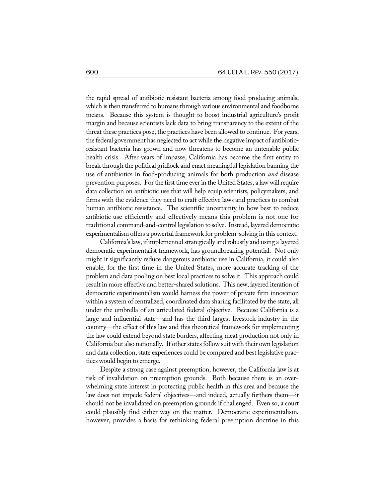the rapid spread of antibiotic-resistant bacteria among food-producing animals, which is then transferred to humans through various environmental and foodborne means. Because this system is thought to boost industrial agriculture's profit margin and because scientists lack data to bring transparency to the extent of the threat these practices pose, the practices have been allowed to continue. For years, the federal government has neglected to actwhile the negative impact of antibioticresistant bacteria has grown and now threatens to become an untenable public health crisis. After years of impasse, California has become the first entity to break through the political gridlock and enact meaningful legislation banning the use of antibiotics in food-producing animals for both production *and* disease prevention purposes. For the first time everin the United States, a law will require data collection on antibiotic use that will help equip scientists, policymakers, and firms with the evidence they need to craft effective laws and practices to combat human antibiotic resistance. The scientific uncertainty in how best to reduce antibiotic use efficiently and effectively means this problem is not one for traditional command-and-control legislation to solve. Instead, layered democratic experimentalism offers a powerful framework for problem-solving in this context.

California'slaw, if implemented strategically and robustly and using a layered democratic experimentalist framework, has groundbreaking potential. Not only might it significantly reduce dangerous antibiotic use in California, it could also enable, for the first time in the United States, more accurate tracking of the problem and data pooling on best local practices to solve it. This approach could result in more effective and better-shared solutions. This new, layered iteration of democratic experimentalism would harness the power of private firm innovation within a system of centralized, coordinated data sharing facilitated by the state, all under the umbrella of an articulated federal objective. Because California is a large and influential state—and has the third largest livestock industry in the country—the effect of this law and this theoretical framework for implementing the law could extend beyond state borders, affecting meat production not only in California but also nationally. If other states follow suit with their own legislation and data collection, state experiences could be compared and best legislative practices would begin to emerge.

Despite a strong case against preemption, however, the California law is at risk of invalidation on preemption grounds. Both because there is an overwhelming state interest in protecting public health in this area and because the law does not impede federal objectives—and indeed, actually furthers them—it should not be invalidated on preemption grounds if challenged. Even so, a court could plausibly find either way on the matter. Democratic experimentalism, however, provides a basis for rethinking federal preemption doctrine in this